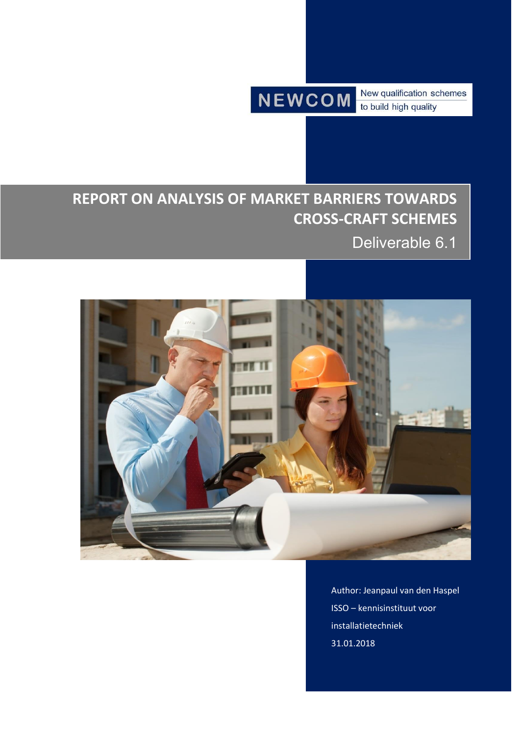**NEWCOM** 

New qualification schemes to build high quality

# **REPORT ON ANALYSIS OF MARKET BARRIERS TOWARDS CROSS-CRAFT SCHEMES**

Deliverable 6.1



Author: Jeanpaul van den Haspel ISSO – kennisinstituut voor installatietechniek 31.01.2018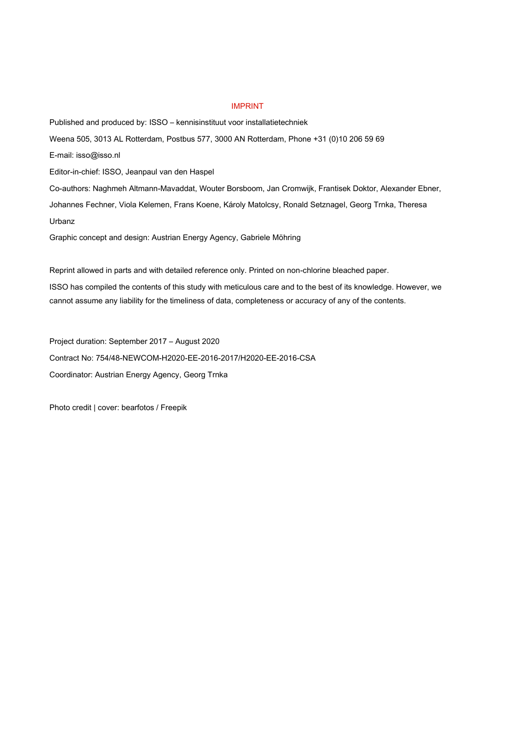#### IMPRINT

Published and produced by: ISSO – kennisinstituut voor installatietechniek Weena 505, 3013 AL Rotterdam, Postbus 577, 3000 AN Rotterdam, Phone +31 (0)10 206 59 69 E-mail: isso@isso.nl Editor-in-chief: ISSO, Jeanpaul van den Haspel Co-authors: Naghmeh Altmann-Mavaddat, Wouter Borsboom, Jan Cromwijk, Frantisek Doktor, Alexander Ebner, Johannes Fechner, Viola Kelemen, Frans Koene, Károly Matolcsy, Ronald Setznagel, Georg Trnka, Theresa Urbanz Graphic concept and design: Austrian Energy Agency, Gabriele Möhring

Reprint allowed in parts and with detailed reference only. Printed on non-chlorine bleached paper.

ISSO has compiled the contents of this study with meticulous care and to the best of its knowledge. However, we cannot assume any liability for the timeliness of data, completeness or accuracy of any of the contents.

Project duration: September 2017 – August 2020 Contract No: 754/48-NEWCOM-H2020-EE-2016-2017/H2020-EE-2016-CSA Coordinator: Austrian Energy Agency, Georg Trnka

Photo credit | cover: bearfotos / Freepik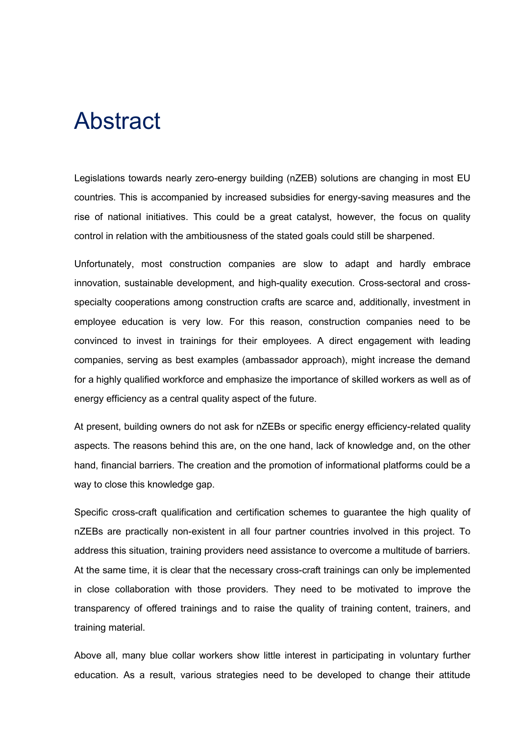# Abstract

Legislations towards nearly zero-energy building (nZEB) solutions are changing in most EU countries. This is accompanied by increased subsidies for energy-saving measures and the rise of national initiatives. This could be a great catalyst, however, the focus on quality control in relation with the ambitiousness of the stated goals could still be sharpened.

Unfortunately, most construction companies are slow to adapt and hardly embrace innovation, sustainable development, and high-quality execution. Cross-sectoral and crossspecialty cooperations among construction crafts are scarce and, additionally, investment in employee education is very low. For this reason, construction companies need to be convinced to invest in trainings for their employees. A direct engagement with leading companies, serving as best examples (ambassador approach), might increase the demand for a highly qualified workforce and emphasize the importance of skilled workers as well as of energy efficiency as a central quality aspect of the future.

At present, building owners do not ask for nZEBs or specific energy efficiency-related quality aspects. The reasons behind this are, on the one hand, lack of knowledge and, on the other hand, financial barriers. The creation and the promotion of informational platforms could be a way to close this knowledge gap.

Specific cross-craft qualification and certification schemes to guarantee the high quality of nZEBs are practically non-existent in all four partner countries involved in this project. To address this situation, training providers need assistance to overcome a multitude of barriers. At the same time, it is clear that the necessary cross-craft trainings can only be implemented in close collaboration with those providers. They need to be motivated to improve the transparency of offered trainings and to raise the quality of training content, trainers, and training material.

Above all, many blue collar workers show little interest in participating in voluntary further education. As a result, various strategies need to be developed to change their attitude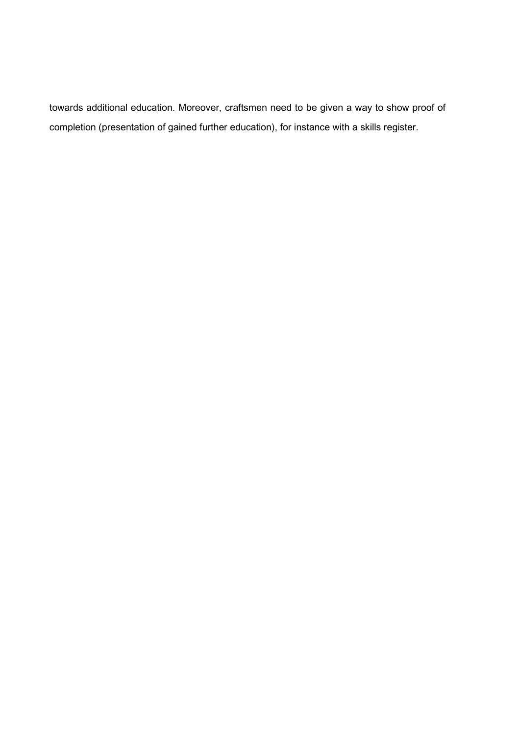towards additional education. Moreover, craftsmen need to be given a way to show proof of completion (presentation of gained further education), for instance with a skills register.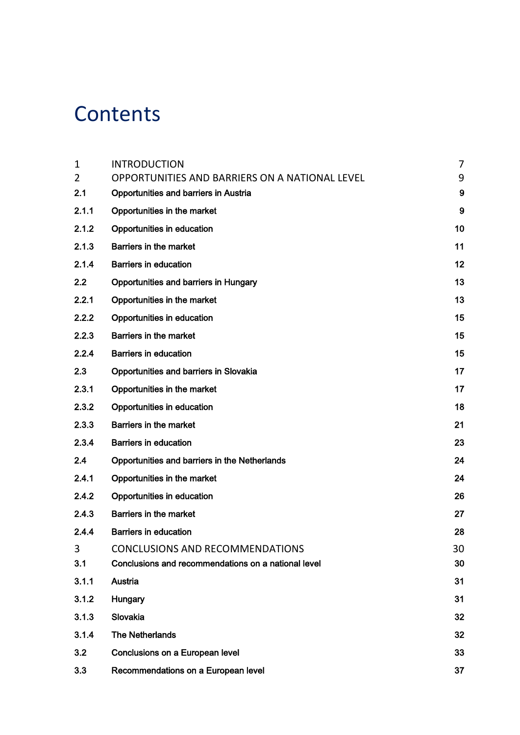# **Contents**

| $\mathbf{1}$ | <b>INTRODUCTION</b>                                 | $\overline{7}$   |
|--------------|-----------------------------------------------------|------------------|
| 2            | OPPORTUNITIES AND BARRIERS ON A NATIONAL LEVEL      | 9                |
| 2.1          | <b>Opportunities and barriers in Austria</b>        | $\boldsymbol{9}$ |
| 2.1.1        | Opportunities in the market                         | $9\,$            |
| 2.1.2        | Opportunities in education                          | 10               |
| 2.1.3        | <b>Barriers in the market</b>                       | 11               |
| 2.1.4        | <b>Barriers in education</b>                        | 12               |
| 2.2          | Opportunities and barriers in Hungary               | 13               |
| 2.2.1        | Opportunities in the market                         | 13               |
| 2.2.2        | Opportunities in education                          | 15               |
| 2.2.3        | Barriers in the market                              | 15               |
| 2.2.4        | <b>Barriers in education</b>                        | 15               |
| 2.3          | Opportunities and barriers in Slovakia              | 17               |
| 2.3.1        | Opportunities in the market                         | 17               |
| 2.3.2        | Opportunities in education                          | 18               |
| 2.3.3        | <b>Barriers in the market</b>                       | 21               |
| 2.3.4        | <b>Barriers in education</b>                        | 23               |
| 2.4          | Opportunities and barriers in the Netherlands       | 24               |
| 2.4.1        | Opportunities in the market                         | 24               |
| 2.4.2        | Opportunities in education                          | 26               |
| 2.4.3        | <b>Barriers in the market</b>                       | 27               |
| 2.4.4        | <b>Barriers in education</b>                        | 28               |
| 3            | <b>CONCLUSIONS AND RECOMMENDATIONS</b>              | 30               |
| 3.1          | Conclusions and recommendations on a national level | 30               |
| 3.1.1        | Austria                                             | 31               |
| 3.1.2        | Hungary                                             | 31               |
| 3.1.3        | Slovakia                                            | 32               |
| 3.1.4        | <b>The Netherlands</b>                              | 32               |
| 3.2          | Conclusions on a European level                     | 33               |
| 3.3          | Recommendations on a European level                 | 37               |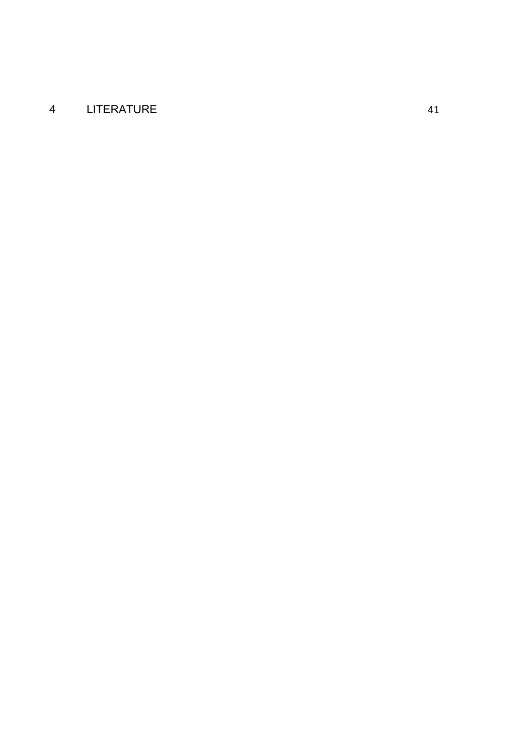# [LITERATURE](#page-40-0) 41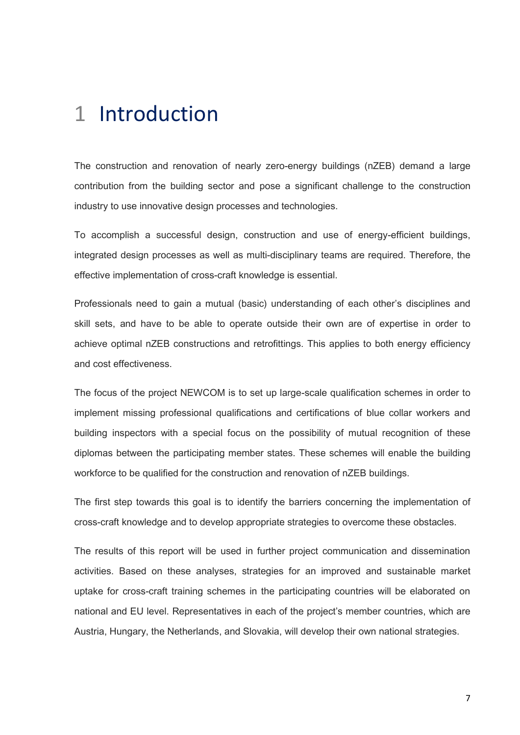# <span id="page-6-0"></span>1 Introduction

The construction and renovation of nearly zero-energy buildings (nZEB) demand a large contribution from the building sector and pose a significant challenge to the construction industry to use innovative design processes and technologies.

To accomplish a successful design, construction and use of energy-efficient buildings, integrated design processes as well as multi-disciplinary teams are required. Therefore, the effective implementation of cross-craft knowledge is essential.

Professionals need to gain a mutual (basic) understanding of each other's disciplines and skill sets, and have to be able to operate outside their own are of expertise in order to achieve optimal nZEB constructions and retrofittings. This applies to both energy efficiency and cost effectiveness.

The focus of the project NEWCOM is to set up large-scale qualification schemes in order to implement missing professional qualifications and certifications of blue collar workers and building inspectors with a special focus on the possibility of mutual recognition of these diplomas between the participating member states. These schemes will enable the building workforce to be qualified for the construction and renovation of nZEB buildings.

The first step towards this goal is to identify the barriers concerning the implementation of cross-craft knowledge and to develop appropriate strategies to overcome these obstacles.

The results of this report will be used in further project communication and dissemination activities. Based on these analyses, strategies for an improved and sustainable market uptake for cross-craft training schemes in the participating countries will be elaborated on national and EU level. Representatives in each of the project's member countries, which are Austria, Hungary, the Netherlands, and Slovakia, will develop their own national strategies.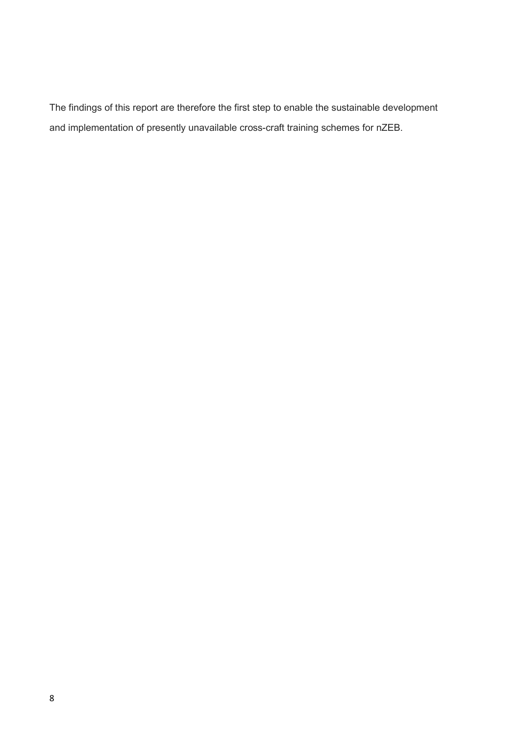The findings of this report are therefore the first step to enable the sustainable development and implementation of presently unavailable cross-craft training schemes for nZEB.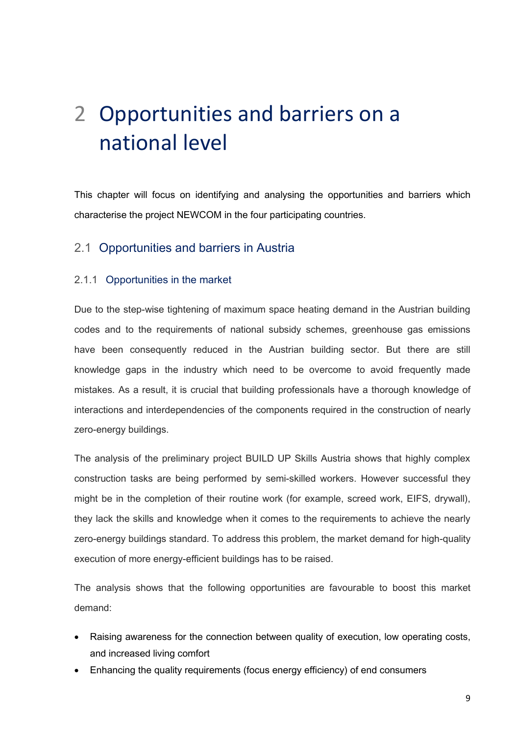# <span id="page-8-0"></span>2 Opportunities and barriers on a national level

This chapter will focus on identifying and analysing the opportunities and barriers which characterise the project NEWCOM in the four participating countries.

# <span id="page-8-1"></span>2.1 Opportunities and barriers in Austria

#### <span id="page-8-2"></span>2.1.1 Opportunities in the market

Due to the step-wise tightening of maximum space heating demand in the Austrian building codes and to the requirements of national subsidy schemes, greenhouse gas emissions have been consequently reduced in the Austrian building sector. But there are still knowledge gaps in the industry which need to be overcome to avoid frequently made mistakes. As a result, it is crucial that building professionals have a thorough knowledge of interactions and interdependencies of the components required in the construction of nearly zero-energy buildings.

The analysis of the preliminary project BUILD UP Skills Austria shows that highly complex construction tasks are being performed by semi-skilled workers. However successful they might be in the completion of their routine work (for example, screed work, EIFS, drywall), they lack the skills and knowledge when it comes to the requirements to achieve the nearly zero-energy buildings standard. To address this problem, the market demand for high-quality execution of more energy-efficient buildings has to be raised.

The analysis shows that the following opportunities are favourable to boost this market demand:

- Raising awareness for the connection between quality of execution, low operating costs, and increased living comfort
- Enhancing the quality requirements (focus energy efficiency) of end consumers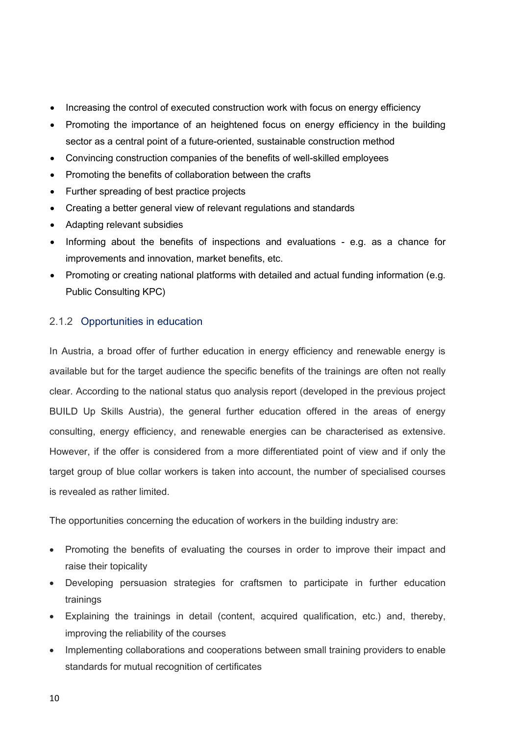- Increasing the control of executed construction work with focus on energy efficiency
- Promoting the importance of an heightened focus on energy efficiency in the building sector as a central point of a future-oriented, sustainable construction method
- Convincing construction companies of the benefits of well-skilled employees
- Promoting the benefits of collaboration between the crafts
- Further spreading of best practice projects
- Creating a better general view of relevant regulations and standards
- Adapting relevant subsidies
- Informing about the benefits of inspections and evaluations e.g. as a chance for improvements and innovation, market benefits, etc.
- Promoting or creating national platforms with detailed and actual funding information (e.g. Public Consulting KPC)

## <span id="page-9-0"></span>2.1.2 Opportunities in education

In Austria, a broad offer of further education in energy efficiency and renewable energy is available but for the target audience the specific benefits of the trainings are often not really clear. According to the national status quo analysis report (developed in the previous project BUILD Up Skills Austria), the general further education offered in the areas of energy consulting, energy efficiency, and renewable energies can be characterised as extensive. However, if the offer is considered from a more differentiated point of view and if only the target group of blue collar workers is taken into account, the number of specialised courses is revealed as rather limited.

The opportunities concerning the education of workers in the building industry are:

- Promoting the benefits of evaluating the courses in order to improve their impact and raise their topicality
- Developing persuasion strategies for craftsmen to participate in further education trainings
- Explaining the trainings in detail (content, acquired qualification, etc.) and, thereby, improving the reliability of the courses
- Implementing collaborations and cooperations between small training providers to enable standards for mutual recognition of certificates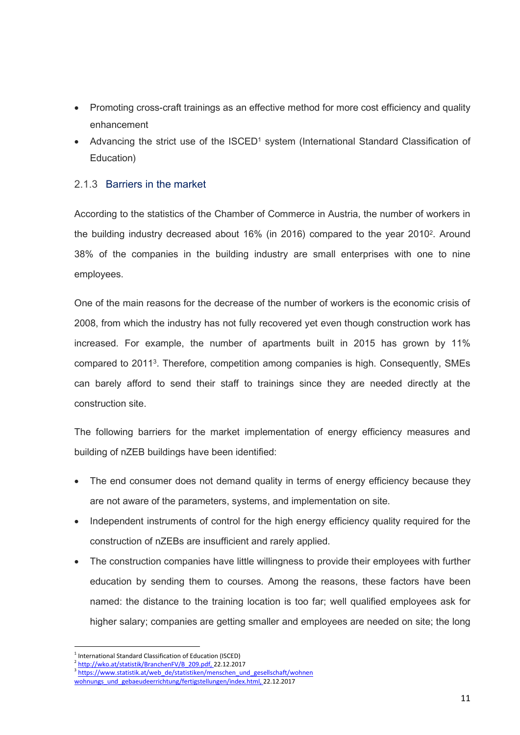- Promoting cross-craft trainings as an effective method for more cost efficiency and quality enhancement
- Advancing the strict use of the ISCED<sup>1</sup> system (International Standard Classification of Education)

# <span id="page-10-0"></span>2.1.3 Barriers in the market

According to the statistics of the Chamber of Commerce in Austria, the number of workers in the building industry decreased about 16% (in 2016) compared to the year 2010<sup>2</sup>. Around 38% of the companies in the building industry are small enterprises with one to nine employees.

One of the main reasons for the decrease of the number of workers is the economic crisis of 2008, from which the industry has not fully recovered yet even though construction work has increased. For example, the number of apartments built in 2015 has grown by 11% compared to 2011<sup>3</sup> . Therefore, competition among companies is high. Consequently, SMEs can barely afford to send their staff to trainings since they are needed directly at the construction site.

The following barriers for the market implementation of energy efficiency measures and building of nZEB buildings have been identified:

- The end consumer does not demand quality in terms of energy efficiency because they are not aware of the parameters, systems, and implementation on site.
- Independent instruments of control for the high energy efficiency quality required for the construction of nZEBs are insufficient and rarely applied.
- The construction companies have little willingness to provide their employees with further education by sending them to courses. Among the reasons, these factors have been named: the distance to the training location is too far; well qualified employees ask for higher salary; companies are getting smaller and employees are needed on site; the long

<sup>1</sup> International Standard Classification of Education (ISCED)

 $\frac{2 \text{ http://wko.at/statistik/BranchenFV/B} \cdot 209. \text{pdf}, 22.12.2017}{2 \text{ http://whou.txtictik at/hwoh}, 4 \text{of.} \text{frictition/mence/hon}, \text{http://wusu.txtictik at/hwoh}, 4 \text{of.} \text{frictition/mence/hon}, \text{http://wupue.txtictik, 1001/2017}.}$ 

https://www.statistik.at/web\_de/statistiken/menschen\_und\_gesellschaft/wohnen

wohnungs und gebaeudeerrichtung/fertigstellungen/index.html, 22.12.2017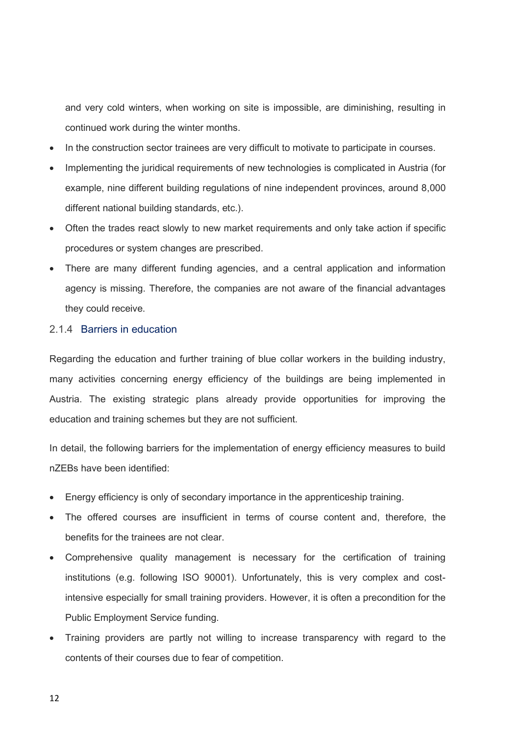and very cold winters, when working on site is impossible, are diminishing, resulting in continued work during the winter months.

- In the construction sector trainees are very difficult to motivate to participate in courses.
- Implementing the juridical requirements of new technologies is complicated in Austria (for example, nine different building regulations of nine independent provinces, around 8,000 different national building standards, etc.).
- Often the trades react slowly to new market requirements and only take action if specific procedures or system changes are prescribed.
- There are many different funding agencies, and a central application and information agency is missing. Therefore, the companies are not aware of the financial advantages they could receive.

#### <span id="page-11-0"></span>2.1.4 Barriers in education

Regarding the education and further training of blue collar workers in the building industry, many activities concerning energy efficiency of the buildings are being implemented in Austria. The existing strategic plans already provide opportunities for improving the education and training schemes but they are not sufficient.

In detail, the following barriers for the implementation of energy efficiency measures to build nZEBs have been identified:

- Energy efficiency is only of secondary importance in the apprenticeship training.
- The offered courses are insufficient in terms of course content and, therefore, the benefits for the trainees are not clear.
- Comprehensive quality management is necessary for the certification of training institutions (e.g. following ISO 90001). Unfortunately, this is very complex and costintensive especially for small training providers. However, it is often a precondition for the Public Employment Service funding.
- Training providers are partly not willing to increase transparency with regard to the contents of their courses due to fear of competition.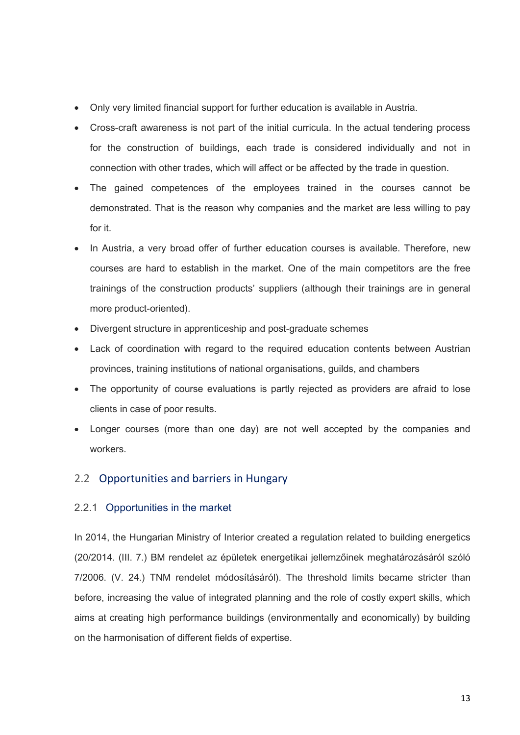- Only very limited financial support for further education is available in Austria.
- Cross-craft awareness is not part of the initial curricula. In the actual tendering process for the construction of buildings, each trade is considered individually and not in connection with other trades, which will affect or be affected by the trade in question.
- The gained competences of the employees trained in the courses cannot be demonstrated. That is the reason why companies and the market are less willing to pay for it.
- In Austria, a very broad offer of further education courses is available. Therefore, new courses are hard to establish in the market. One of the main competitors are the free trainings of the construction products' suppliers (although their trainings are in general more product-oriented).
- Divergent structure in apprenticeship and post-graduate schemes
- Lack of coordination with regard to the required education contents between Austrian provinces, training institutions of national organisations, guilds, and chambers
- The opportunity of course evaluations is partly rejected as providers are afraid to lose clients in case of poor results.
- Longer courses (more than one day) are not well accepted by the companies and workers.

# <span id="page-12-0"></span>2.2 Opportunities and barriers in Hungary

# <span id="page-12-1"></span>2.2.1 Opportunities in the market

In 2014, the Hungarian Ministry of Interior created a regulation related to building energetics (20/2014. (III. 7.) BM rendelet az épületek energetikai jellemzőinek meghatározásáról szóló 7/2006. (V. 24.) TNM rendelet módosításáról). The threshold limits became stricter than before, increasing the value of integrated planning and the role of costly expert skills, which aims at creating high performance buildings (environmentally and economically) by building on the harmonisation of different fields of expertise.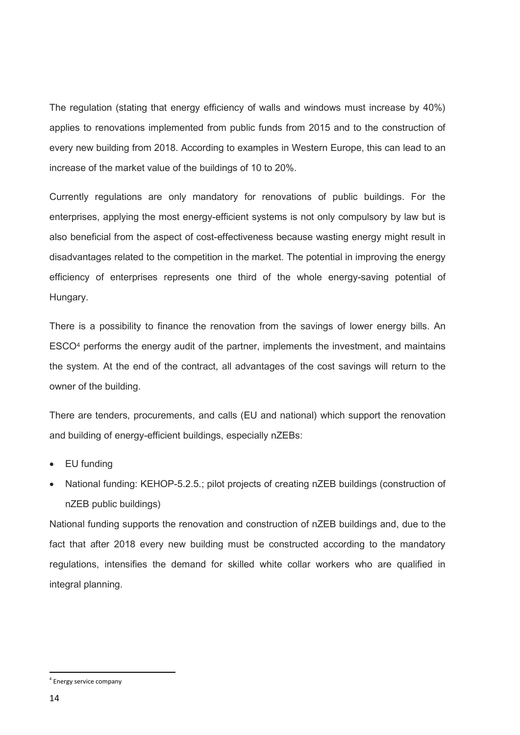The regulation (stating that energy efficiency of walls and windows must increase by 40%) applies to renovations implemented from public funds from 2015 and to the construction of every new building from 2018. According to examples in Western Europe, this can lead to an increase of the market value of the buildings of 10 to 20%.

Currently regulations are only mandatory for renovations of public buildings. For the enterprises, applying the most energy-efficient systems is not only compulsory by law but is also beneficial from the aspect of cost-effectiveness because wasting energy might result in disadvantages related to the competition in the market. The potential in improving the energy efficiency of enterprises represents one third of the whole energy-saving potential of Hungary.

There is a possibility to finance the renovation from the savings of lower energy bills. An ESCO<sup>4</sup> performs the energy audit of the partner, implements the investment, and maintains the system. At the end of the contract, all advantages of the cost savings will return to the owner of the building.

There are tenders, procurements, and calls (EU and national) which support the renovation and building of energy-efficient buildings, especially nZEBs:

- EU funding
- National funding: KEHOP-5.2.5.; pilot projects of creating nZEB buildings (construction of nZEB public buildings)

National funding supports the renovation and construction of nZEB buildings and, due to the fact that after 2018 every new building must be constructed according to the mandatory regulations, intensifies the demand for skilled white collar workers who are qualified in integral planning.

1

<sup>4</sup> Energy service company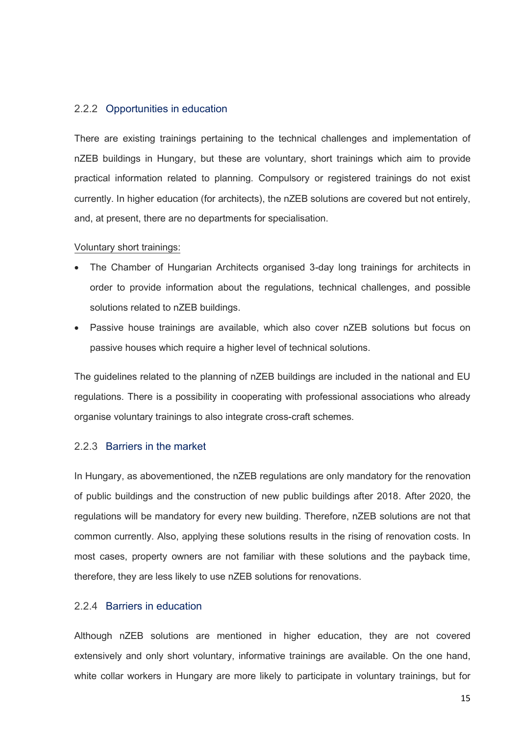#### <span id="page-14-0"></span>2.2.2 Opportunities in education

There are existing trainings pertaining to the technical challenges and implementation of nZEB buildings in Hungary, but these are voluntary, short trainings which aim to provide practical information related to planning. Compulsory or registered trainings do not exist currently. In higher education (for architects), the nZEB solutions are covered but not entirely, and, at present, there are no departments for specialisation.

#### Voluntary short trainings:

- The Chamber of Hungarian Architects organised 3-day long trainings for architects in order to provide information about the regulations, technical challenges, and possible solutions related to nZEB buildings.
- Passive house trainings are available, which also cover nZEB solutions but focus on passive houses which require a higher level of technical solutions.

The guidelines related to the planning of nZEB buildings are included in the national and EU regulations. There is a possibility in cooperating with professional associations who already organise voluntary trainings to also integrate cross-craft schemes.

## <span id="page-14-1"></span>2.2.3 Barriers in the market

In Hungary, as abovementioned, the nZEB regulations are only mandatory for the renovation of public buildings and the construction of new public buildings after 2018. After 2020, the regulations will be mandatory for every new building. Therefore, nZEB solutions are not that common currently. Also, applying these solutions results in the rising of renovation costs. In most cases, property owners are not familiar with these solutions and the payback time, therefore, they are less likely to use nZEB solutions for renovations.

## <span id="page-14-2"></span>2.2.4 Barriers in education

Although nZEB solutions are mentioned in higher education, they are not covered extensively and only short voluntary, informative trainings are available. On the one hand, white collar workers in Hungary are more likely to participate in voluntary trainings, but for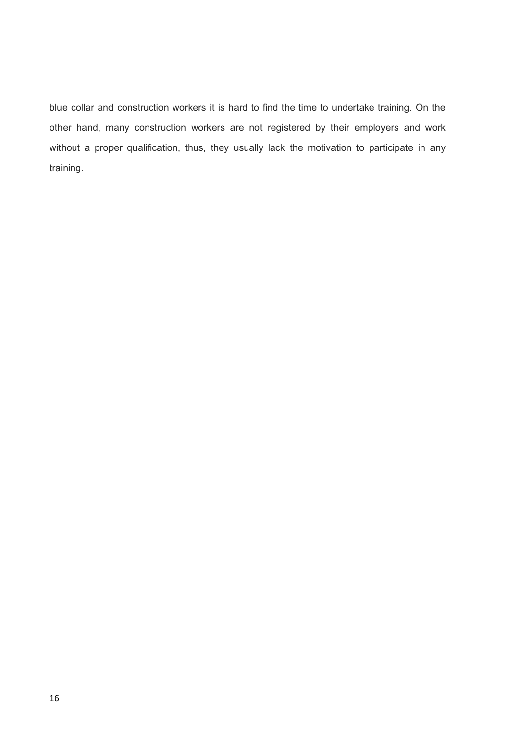blue collar and construction workers it is hard to find the time to undertake training. On the other hand, many construction workers are not registered by their employers and work without a proper qualification, thus, they usually lack the motivation to participate in any training.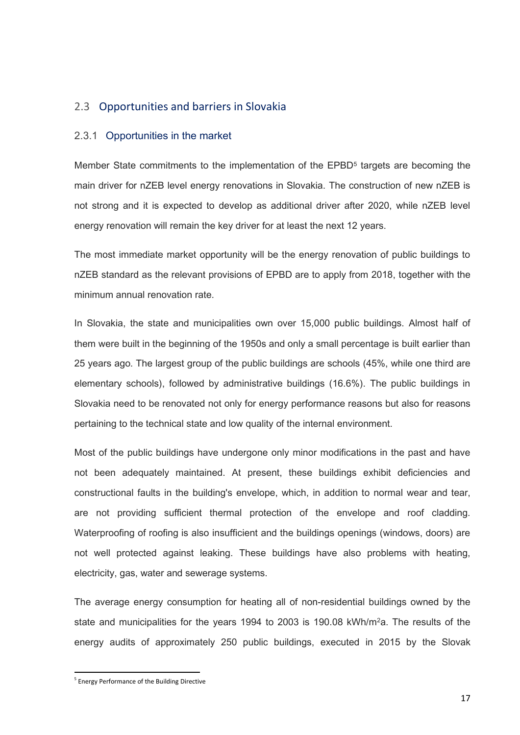# <span id="page-16-0"></span>2.3 Opportunities and barriers in Slovakia

#### <span id="page-16-1"></span>2.3.1 Opportunities in the market

Member State commitments to the implementation of the EPBD<sup>5</sup> targets are becoming the main driver for nZEB level energy renovations in Slovakia. The construction of new nZEB is not strong and it is expected to develop as additional driver after 2020, while nZEB level energy renovation will remain the key driver for at least the next 12 years.

The most immediate market opportunity will be the energy renovation of public buildings to nZEB standard as the relevant provisions of EPBD are to apply from 2018, together with the minimum annual renovation rate.

In Slovakia, the state and municipalities own over 15,000 public buildings. Almost half of them were built in the beginning of the 1950s and only a small percentage is built earlier than 25 years ago. The largest group of the public buildings are schools (45%, while one third are elementary schools), followed by administrative buildings (16.6%). The public buildings in Slovakia need to be renovated not only for energy performance reasons but also for reasons pertaining to the technical state and low quality of the internal environment.

Most of the public buildings have undergone only minor modifications in the past and have not been adequately maintained. At present, these buildings exhibit deficiencies and constructional faults in the building's envelope, which, in addition to normal wear and tear, are not providing sufficient thermal protection of the envelope and roof cladding. Waterproofing of roofing is also insufficient and the buildings openings (windows, doors) are not well protected against leaking. These buildings have also problems with heating, electricity, gas, water and sewerage systems.

The average energy consumption for heating all of non-residential buildings owned by the state and municipalities for the years 1994 to 2003 is 190.08 kWh/m<sup>2</sup>a. The results of the energy audits of approximately 250 public buildings, executed in 2015 by the Slovak

1

<sup>&</sup>lt;sup>5</sup> Energy Performance of the Building Directive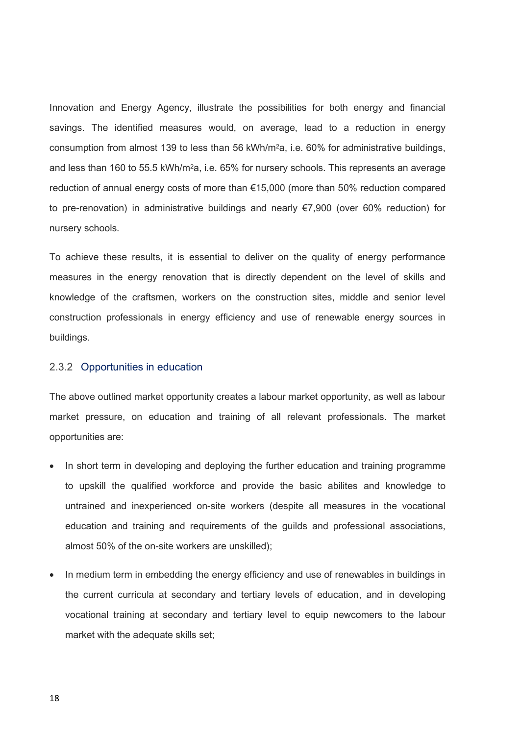Innovation and Energy Agency, illustrate the possibilities for both energy and financial savings. The identified measures would, on average, lead to a reduction in energy consumption from almost 139 to less than 56 kWh/m<sup>2</sup>a, i.e. 60% for administrative buildings, and less than 160 to 55.5 kWh/m<sup>2</sup>a, i.e. 65% for nursery schools. This represents an average reduction of annual energy costs of more than €15,000 (more than 50% reduction compared to pre-renovation) in administrative buildings and nearly €7,900 (over 60% reduction) for nursery schools.

To achieve these results, it is essential to deliver on the quality of energy performance measures in the energy renovation that is directly dependent on the level of skills and knowledge of the craftsmen, workers on the construction sites, middle and senior level construction professionals in energy efficiency and use of renewable energy sources in buildings.

#### <span id="page-17-0"></span>2.3.2 Opportunities in education

The above outlined market opportunity creates a labour market opportunity, as well as labour market pressure, on education and training of all relevant professionals. The market opportunities are:

- In short term in developing and deploying the further education and training programme to upskill the qualified workforce and provide the basic abilites and knowledge to untrained and inexperienced on-site workers (despite all measures in the vocational education and training and requirements of the guilds and professional associations, almost 50% of the on-site workers are unskilled);
- In medium term in embedding the energy efficiency and use of renewables in buildings in the current curricula at secondary and tertiary levels of education, and in developing vocational training at secondary and tertiary level to equip newcomers to the labour market with the adequate skills set;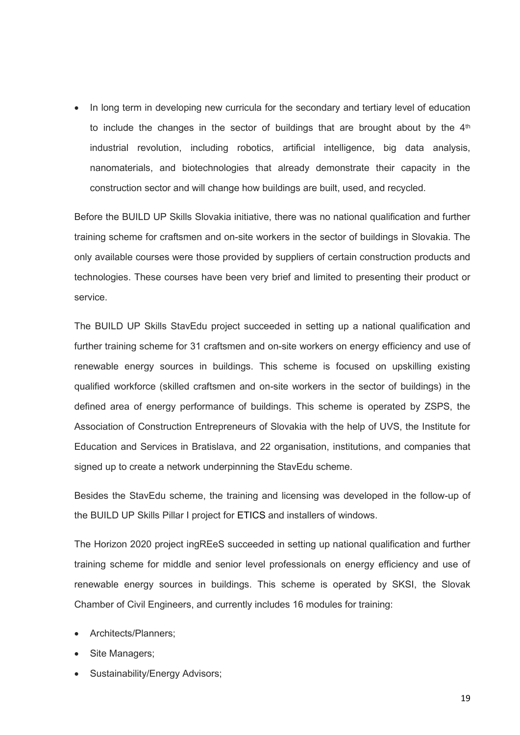• In long term in developing new curricula for the secondary and tertiary level of education to include the changes in the sector of buildings that are brought about by the  $4<sup>th</sup>$ industrial revolution, including robotics, artificial intelligence, big data analysis, nanomaterials, and biotechnologies that already demonstrate their capacity in the construction sector and will change how buildings are built, used, and recycled.

Before the BUILD UP Skills Slovakia initiative, there was no national qualification and further training scheme for craftsmen and on-site workers in the sector of buildings in Slovakia. The only available courses were those provided by suppliers of certain construction products and technologies. These courses have been very brief and limited to presenting their product or service.

The BUILD UP Skills StavEdu project succeeded in setting up a national qualification and further training scheme for 31 craftsmen and on-site workers on energy efficiency and use of renewable energy sources in buildings. This scheme is focused on upskilling existing qualified workforce (skilled craftsmen and on-site workers in the sector of buildings) in the defined area of energy performance of buildings. This scheme is operated by ZSPS, the Association of Construction Entrepreneurs of Slovakia with the help of UVS, the Institute for Education and Services in Bratislava, and 22 organisation, institutions, and companies that signed up to create a network underpinning the StavEdu scheme.

Besides the StavEdu scheme, the training and licensing was developed in the follow-up of the BUILD UP Skills Pillar I project for ETICS and installers of windows.

The Horizon 2020 project ingREeS succeeded in setting up national qualification and further training scheme for middle and senior level professionals on energy efficiency and use of renewable energy sources in buildings. This scheme is operated by SKSI, the Slovak Chamber of Civil Engineers, and currently includes 16 modules for training:

- Architects/Planners;
- Site Managers;
- Sustainability/Energy Advisors;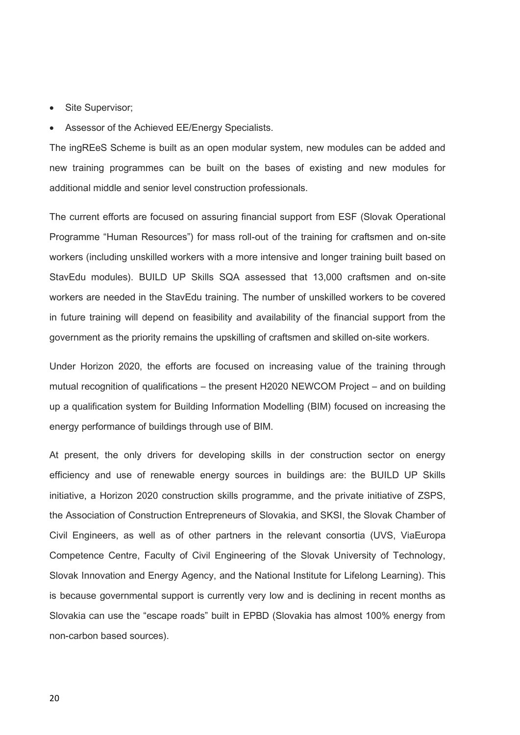- Site Supervisor;
- Assessor of the Achieved EE/Energy Specialists.

The ingREeS Scheme is built as an open modular system, new modules can be added and new training programmes can be built on the bases of existing and new modules for additional middle and senior level construction professionals.

The current efforts are focused on assuring financial support from ESF (Slovak Operational Programme "Human Resources") for mass roll-out of the training for craftsmen and on-site workers (including unskilled workers with a more intensive and longer training built based on StavEdu modules). BUILD UP Skills SQA assessed that 13,000 craftsmen and on-site workers are needed in the StavEdu training. The number of unskilled workers to be covered in future training will depend on feasibility and availability of the financial support from the government as the priority remains the upskilling of craftsmen and skilled on-site workers.

Under Horizon 2020, the efforts are focused on increasing value of the training through mutual recognition of qualifications – the present H2020 NEWCOM Project – and on building up a qualification system for Building Information Modelling (BIM) focused on increasing the energy performance of buildings through use of BIM.

At present, the only drivers for developing skills in der construction sector on energy efficiency and use of renewable energy sources in buildings are: the BUILD UP Skills initiative, a Horizon 2020 construction skills programme, and the private initiative of ZSPS, the Association of Construction Entrepreneurs of Slovakia, and SKSI, the Slovak Chamber of Civil Engineers, as well as of other partners in the relevant consortia (UVS, ViaEuropa Competence Centre, Faculty of Civil Engineering of the Slovak University of Technology, Slovak Innovation and Energy Agency, and the National Institute for Lifelong Learning). This is because governmental support is currently very low and is declining in recent months as Slovakia can use the "escape roads" built in EPBD (Slovakia has almost 100% energy from non-carbon based sources).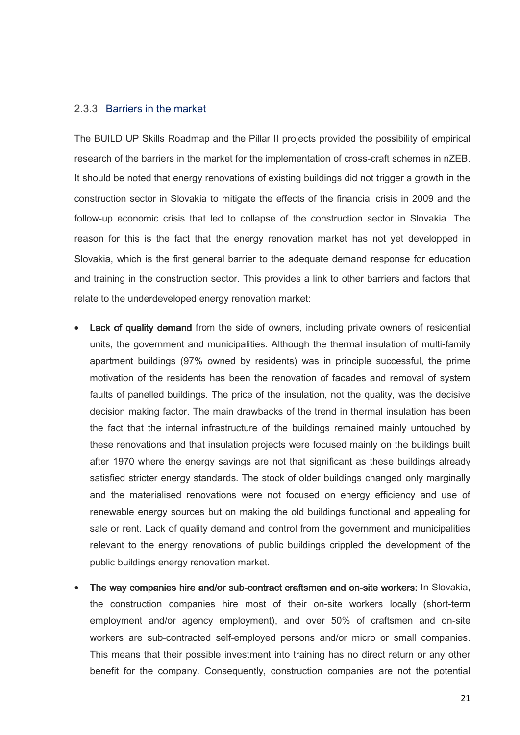#### <span id="page-20-0"></span>2.3.3 Barriers in the market

The BUILD UP Skills Roadmap and the Pillar II projects provided the possibility of empirical research of the barriers in the market for the implementation of cross-craft schemes in nZEB. It should be noted that energy renovations of existing buildings did not trigger a growth in the construction sector in Slovakia to mitigate the effects of the financial crisis in 2009 and the follow-up economic crisis that led to collapse of the construction sector in Slovakia. The reason for this is the fact that the energy renovation market has not yet developped in Slovakia, which is the first general barrier to the adequate demand response for education and training in the construction sector. This provides a link to other barriers and factors that relate to the underdeveloped energy renovation market:

- Lack of quality demand from the side of owners, including private owners of residential units, the government and municipalities. Although the thermal insulation of multi-family apartment buildings (97% owned by residents) was in principle successful, the prime motivation of the residents has been the renovation of facades and removal of system faults of panelled buildings. The price of the insulation, not the quality, was the decisive decision making factor. The main drawbacks of the trend in thermal insulation has been the fact that the internal infrastructure of the buildings remained mainly untouched by these renovations and that insulation projects were focused mainly on the buildings built after 1970 where the energy savings are not that significant as these buildings already satisfied stricter energy standards. The stock of older buildings changed only marginally and the materialised renovations were not focused on energy efficiency and use of renewable energy sources but on making the old buildings functional and appealing for sale or rent. Lack of quality demand and control from the government and municipalities relevant to the energy renovations of public buildings crippled the development of the public buildings energy renovation market.
- The way companies hire and/or sub-contract craftsmen and on-site workers: In Slovakia, the construction companies hire most of their on-site workers locally (short-term employment and/or agency employment), and over 50% of craftsmen and on-site workers are sub-contracted self-employed persons and/or micro or small companies. This means that their possible investment into training has no direct return or any other benefit for the company. Consequently, construction companies are not the potential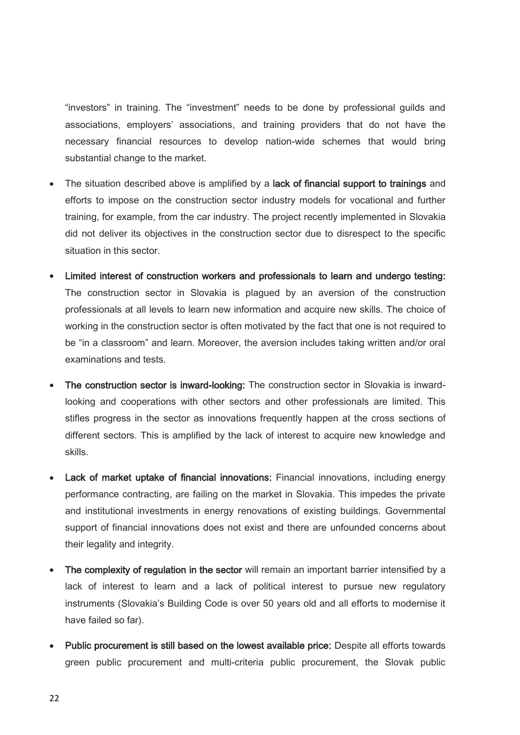"investors" in training. The "investment" needs to be done by professional guilds and associations, employers' associations, and training providers that do not have the necessary financial resources to develop nation-wide schemes that would bring substantial change to the market.

- The situation described above is amplified by a lack of financial support to trainings and efforts to impose on the construction sector industry models for vocational and further training, for example, from the car industry. The project recently implemented in Slovakia did not deliver its objectives in the construction sector due to disrespect to the specific situation in this sector.
- Limited interest of construction workers and professionals to learn and undergo testing: The construction sector in Slovakia is plagued by an aversion of the construction professionals at all levels to learn new information and acquire new skills. The choice of working in the construction sector is often motivated by the fact that one is not required to be "in a classroom" and learn. Moreover, the aversion includes taking written and/or oral examinations and tests.
- The construction sector is inward-looking: The construction sector in Slovakia is inwardlooking and cooperations with other sectors and other professionals are limited. This stifles progress in the sector as innovations frequently happen at the cross sections of different sectors. This is amplified by the lack of interest to acquire new knowledge and skills.
- Lack of market uptake of financial innovations: Financial innovations, including energy performance contracting, are failing on the market in Slovakia. This impedes the private and institutional investments in energy renovations of existing buildings. Governmental support of financial innovations does not exist and there are unfounded concerns about their legality and integrity.
- The complexity of regulation in the sector will remain an important barrier intensified by a lack of interest to learn and a lack of political interest to pursue new regulatory instruments (Slovakia's Building Code is over 50 years old and all efforts to modernise it have failed so far).
- Public procurement is still based on the lowest available price: Despite all efforts towards green public procurement and multi-criteria public procurement, the Slovak public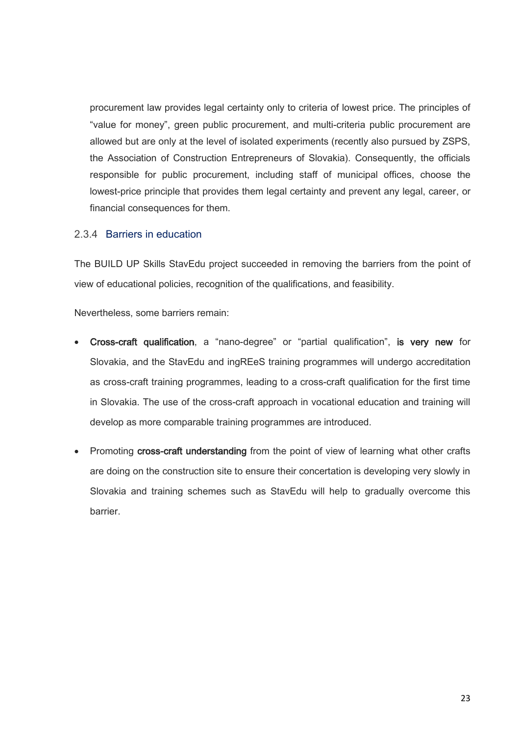procurement law provides legal certainty only to criteria of lowest price. The principles of "value for money", green public procurement, and multi-criteria public procurement are allowed but are only at the level of isolated experiments (recently also pursued by ZSPS, the Association of Construction Entrepreneurs of Slovakia). Consequently, the officials responsible for public procurement, including staff of municipal offices, choose the lowest-price principle that provides them legal certainty and prevent any legal, career, or financial consequences for them.

## <span id="page-22-0"></span>2.3.4 Barriers in education

The BUILD UP Skills StavEdu project succeeded in removing the barriers from the point of view of educational policies, recognition of the qualifications, and feasibility.

Nevertheless, some barriers remain:

- Cross-craft qualification, a "nano-degree" or "partial qualification", is very new for Slovakia, and the StavEdu and ingREeS training programmes will undergo accreditation as cross-craft training programmes, leading to a cross-craft qualification for the first time in Slovakia. The use of the cross-craft approach in vocational education and training will develop as more comparable training programmes are introduced.
- Promoting cross-craft understanding from the point of view of learning what other crafts are doing on the construction site to ensure their concertation is developing very slowly in Slovakia and training schemes such as StavEdu will help to gradually overcome this barrier.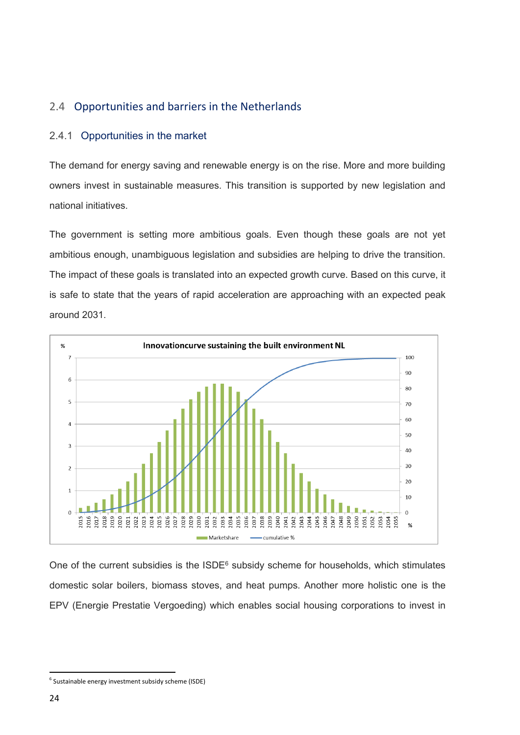# <span id="page-23-0"></span>2.4 Opportunities and barriers in the Netherlands

# <span id="page-23-1"></span>2.4.1 Opportunities in the market

The demand for energy saving and renewable energy is on the rise. More and more building owners invest in sustainable measures. This transition is supported by new legislation and national initiatives.

The government is setting more ambitious goals. Even though these goals are not yet ambitious enough, unambiguous legislation and subsidies are helping to drive the transition. The impact of these goals is translated into an expected growth curve. Based on this curve, it is safe to state that the years of rapid acceleration are approaching with an expected peak around 2031.



One of the current subsidies is the ISDE<sup>6</sup> subsidy scheme for households, which stimulates domestic solar boilers, biomass stoves, and heat pumps. Another more holistic one is the EPV (Energie Prestatie Vergoeding) which enables social housing corporations to invest in

1

<sup>6</sup> Sustainable energy investment subsidy scheme (ISDE)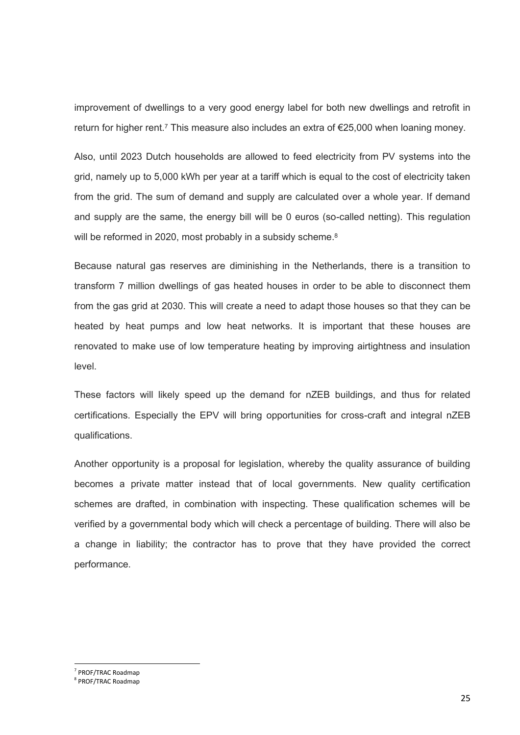improvement of dwellings to a very good energy label for both new dwellings and retrofit in return for higher rent.<sup>7</sup> This measure also includes an extra of €25,000 when loaning money.

Also, until 2023 Dutch households are allowed to feed electricity from PV systems into the grid, namely up to 5,000 kWh per year at a tariff which is equal to the cost of electricity taken from the grid. The sum of demand and supply are calculated over a whole year. If demand and supply are the same, the energy bill will be 0 euros (so-called netting). This regulation will be reformed in 2020, most probably in a subsidy scheme.<sup>8</sup>

Because natural gas reserves are diminishing in the Netherlands, there is a transition to transform 7 million dwellings of gas heated houses in order to be able to disconnect them from the gas grid at 2030. This will create a need to adapt those houses so that they can be heated by heat pumps and low heat networks. It is important that these houses are renovated to make use of low temperature heating by improving airtightness and insulation level.

These factors will likely speed up the demand for nZEB buildings, and thus for related certifications. Especially the EPV will bring opportunities for cross-craft and integral nZEB qualifications.

Another opportunity is a proposal for legislation, whereby the quality assurance of building becomes a private matter instead that of local governments. New quality certification schemes are drafted, in combination with inspecting. These qualification schemes will be verified by a governmental body which will check a percentage of building. There will also be a change in liability; the contractor has to prove that they have provided the correct performance.

1

<sup>7</sup> PROF/TRAC Roadmap

<sup>8</sup> PROF/TRAC Roadmap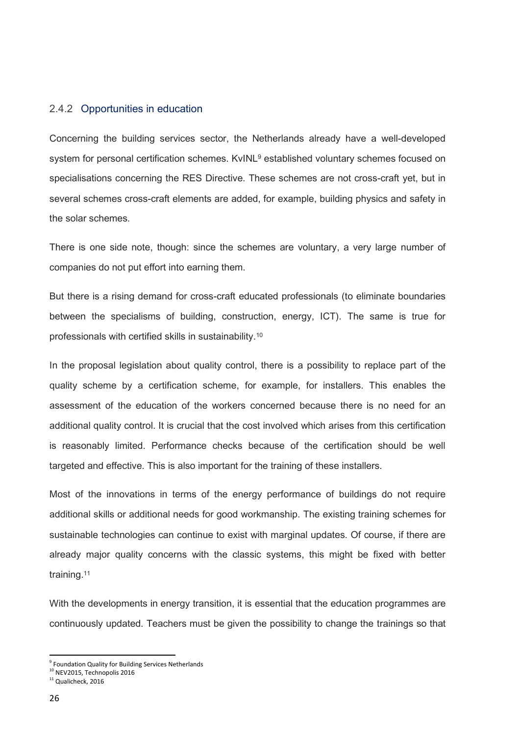#### <span id="page-25-0"></span>2.4.2 Opportunities in education

Concerning the building services sector, the Netherlands already have a well-developed system for personal certification schemes. KvINL<sup>9</sup> established voluntary schemes focused on specialisations concerning the RES Directive. These schemes are not cross-craft yet, but in several schemes cross-craft elements are added, for example, building physics and safety in the solar schemes.

There is one side note, though: since the schemes are voluntary, a very large number of companies do not put effort into earning them.

But there is a rising demand for cross-craft educated professionals (to eliminate boundaries between the specialisms of building, construction, energy, ICT). The same is true for professionals with certified skills in sustainability.<sup>10</sup>

In the proposal legislation about quality control, there is a possibility to replace part of the quality scheme by a certification scheme, for example, for installers. This enables the assessment of the education of the workers concerned because there is no need for an additional quality control. It is crucial that the cost involved which arises from this certification is reasonably limited. Performance checks because of the certification should be well targeted and effective. This is also important for the training of these installers.

Most of the innovations in terms of the energy performance of buildings do not require additional skills or additional needs for good workmanship. The existing training schemes for sustainable technologies can continue to exist with marginal updates. Of course, if there are already major quality concerns with the classic systems, this might be fixed with better training.<sup>11</sup>

With the developments in energy transition, it is essential that the education programmes are continuously updated. Teachers must be given the possibility to change the trainings so that

**<sup>.</sup>** <sup>9</sup> Foundation Quality for Building Services Netherlands

<sup>&</sup>lt;sup>10</sup> NEV2015, Technopolis 2016

<sup>11</sup> Qualicheck, 2016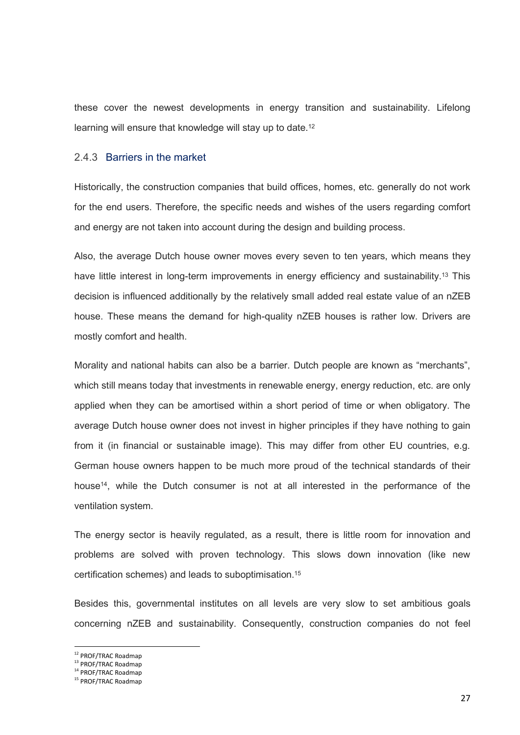these cover the newest developments in energy transition and sustainability. Lifelong learning will ensure that knowledge will stay up to date.<sup>12</sup>

### <span id="page-26-0"></span>2.4.3 Barriers in the market

Historically, the construction companies that build offices, homes, etc. generally do not work for the end users. Therefore, the specific needs and wishes of the users regarding comfort and energy are not taken into account during the design and building process.

Also, the average Dutch house owner moves every seven to ten years, which means they have little interest in long-term improvements in energy efficiency and sustainability.<sup>13</sup> This decision is influenced additionally by the relatively small added real estate value of an nZEB house. These means the demand for high-quality nZEB houses is rather low. Drivers are mostly comfort and health.

Morality and national habits can also be a barrier. Dutch people are known as "merchants", which still means today that investments in renewable energy, energy reduction, etc. are only applied when they can be amortised within a short period of time or when obligatory. The average Dutch house owner does not invest in higher principles if they have nothing to gain from it (in financial or sustainable image). This may differ from other EU countries, e.g. German house owners happen to be much more proud of the technical standards of their house14, while the Dutch consumer is not at all interested in the performance of the ventilation system.

The energy sector is heavily regulated, as a result, there is little room for innovation and problems are solved with proven technology. This slows down innovation (like new certification schemes) and leads to suboptimisation.<sup>15</sup>

Besides this, governmental institutes on all levels are very slow to set ambitious goals concerning nZEB and sustainability. Consequently, construction companies do not feel

<sup>&</sup>lt;sup>12</sup> PROF/TRAC Roadmap

<sup>&</sup>lt;sup>13</sup> PROF/TRAC Roadmap

<sup>14</sup> PROF/TRAC Roadmap

<sup>&</sup>lt;sup>15</sup> PROF/TRAC Roadmap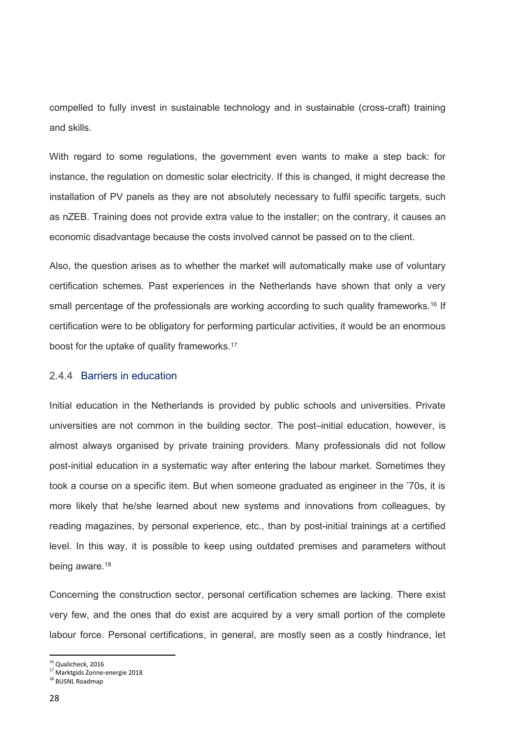compelled to fully invest in sustainable technology and in sustainable (cross-craft) training and skills.

With regard to some regulations, the government even wants to make a step back: for instance, the regulation on domestic solar electricity. If this is changed, it might decrease the installation of PV panels as they are not absolutely necessary to fulfil specific targets, such as nZEB. Training does not provide extra value to the installer; on the contrary, it causes an economic disadvantage because the costs involved cannot be passed on to the client.

Also, the question arises as to whether the market will automatically make use of voluntary certification schemes. Past experiences in the Netherlands have shown that only a very small percentage of the professionals are working according to such quality frameworks.<sup>16</sup> If certification were to be obligatory for performing particular activities, it would be an enormous boost for the uptake of quality frameworks.<sup>17</sup>

#### <span id="page-27-0"></span>2.4.4 Barriers in education

Initial education in the Netherlands is provided by public schools and universities. Private universities are not common in the building sector. The post–initial education, however, is almost always organised by private training providers. Many professionals did not follow post-initial education in a systematic way after entering the labour market. Sometimes they took a course on a specific item. But when someone graduated as engineer in the '70s, it is more likely that he/she learned about new systems and innovations from colleagues, by reading magazines, by personal experience, etc., than by post-initial trainings at a certified level. In this way, it is possible to keep using outdated premises and parameters without being aware.<sup>18</sup>

Concerning the construction sector, personal certification schemes are lacking. There exist very few, and the ones that do exist are acquired by a very small portion of the complete labour force. Personal certifications, in general, are mostly seen as a costly hindrance, let

<sup>&</sup>lt;sup>16</sup> Qualicheck, 2016

<sup>&</sup>lt;sup>17</sup> Marktgids Zonne-energie 2018

<sup>&</sup>lt;sup>18</sup> BUSNL Roadmap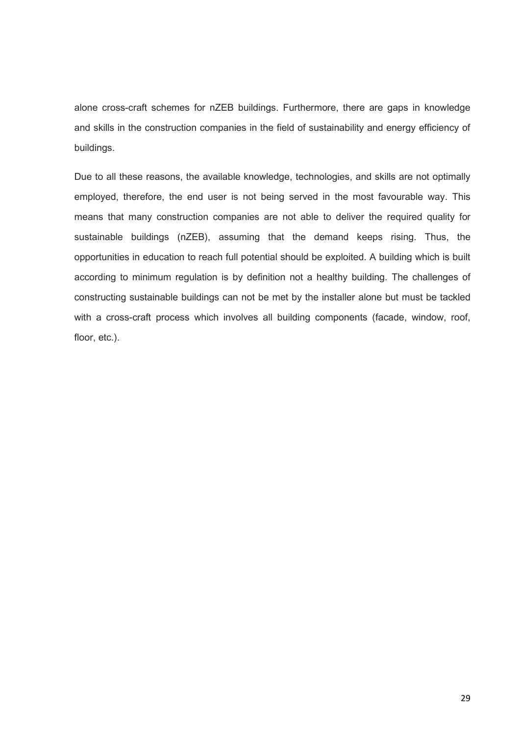alone cross-craft schemes for nZEB buildings. Furthermore, there are gaps in knowledge and skills in the construction companies in the field of sustainability and energy efficiency of buildings.

Due to all these reasons, the available knowledge, technologies, and skills are not optimally employed, therefore, the end user is not being served in the most favourable way. This means that many construction companies are not able to deliver the required quality for sustainable buildings (nZEB), assuming that the demand keeps rising. Thus, the opportunities in education to reach full potential should be exploited. A building which is built according to minimum regulation is by definition not a healthy building. The challenges of constructing sustainable buildings can not be met by the installer alone but must be tackled with a cross-craft process which involves all building components (facade, window, roof, floor, etc.).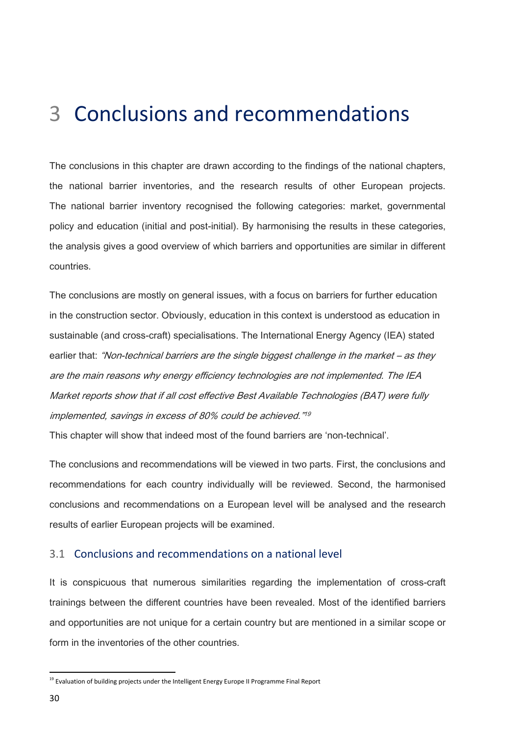# <span id="page-29-0"></span>3 Conclusions and recommendations

The conclusions in this chapter are drawn according to the findings of the national chapters, the national barrier inventories, and the research results of other European projects. The national barrier inventory recognised the following categories: market, governmental policy and education (initial and post-initial). By harmonising the results in these categories, the analysis gives a good overview of which barriers and opportunities are similar in different countries.

The conclusions are mostly on general issues, with a focus on barriers for further education in the construction sector. Obviously, education in this context is understood as education in sustainable (and cross-craft) specialisations. The International Energy Agency (IEA) stated earlier that: "Non-technical barriers are the single biggest challenge in the market – as they are the main reasons why energy efficiency technologies are not implemented. The IEA Market reports show that if all cost effective Best Available Technologies (BAT) were fully implemented, savings in excess of 80% could be achieved." 19

This chapter will show that indeed most of the found barriers are 'non-technical'.

The conclusions and recommendations will be viewed in two parts. First, the conclusions and recommendations for each country individually will be reviewed. Second, the harmonised conclusions and recommendations on a European level will be analysed and the research results of earlier European projects will be examined.

## <span id="page-29-1"></span>3.1 Conclusions and recommendations on a national level

It is conspicuous that numerous similarities regarding the implementation of cross-craft trainings between the different countries have been revealed. Most of the identified barriers and opportunities are not unique for a certain country but are mentioned in a similar scope or form in the inventories of the other countries.

1

<sup>&</sup>lt;sup>19</sup> Evaluation of building projects under the Intelligent Energy Europe II Programme Final Report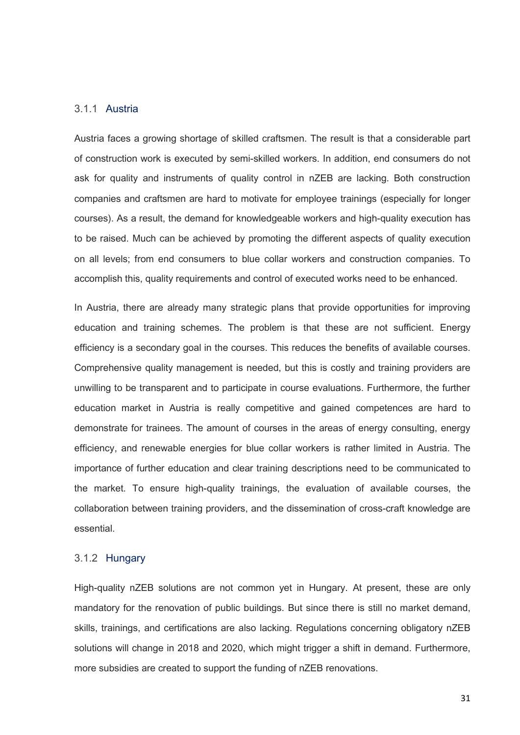#### <span id="page-30-0"></span>3.1.1 Austria

Austria faces a growing shortage of skilled craftsmen. The result is that a considerable part of construction work is executed by semi-skilled workers. In addition, end consumers do not ask for quality and instruments of quality control in nZEB are lacking. Both construction companies and craftsmen are hard to motivate for employee trainings (especially for longer courses). As a result, the demand for knowledgeable workers and high-quality execution has to be raised. Much can be achieved by promoting the different aspects of quality execution on all levels; from end consumers to blue collar workers and construction companies. To accomplish this, quality requirements and control of executed works need to be enhanced.

In Austria, there are already many strategic plans that provide opportunities for improving education and training schemes. The problem is that these are not sufficient. Energy efficiency is a secondary goal in the courses. This reduces the benefits of available courses. Comprehensive quality management is needed, but this is costly and training providers are unwilling to be transparent and to participate in course evaluations. Furthermore, the further education market in Austria is really competitive and gained competences are hard to demonstrate for trainees. The amount of courses in the areas of energy consulting, energy efficiency, and renewable energies for blue collar workers is rather limited in Austria. The importance of further education and clear training descriptions need to be communicated to the market. To ensure high-quality trainings, the evaluation of available courses, the collaboration between training providers, and the dissemination of cross-craft knowledge are essential.

#### <span id="page-30-1"></span>3.1.2 Hungary

High-quality nZEB solutions are not common yet in Hungary. At present, these are only mandatory for the renovation of public buildings. But since there is still no market demand, skills, trainings, and certifications are also lacking. Regulations concerning obligatory nZEB solutions will change in 2018 and 2020, which might trigger a shift in demand. Furthermore, more subsidies are created to support the funding of nZEB renovations.

31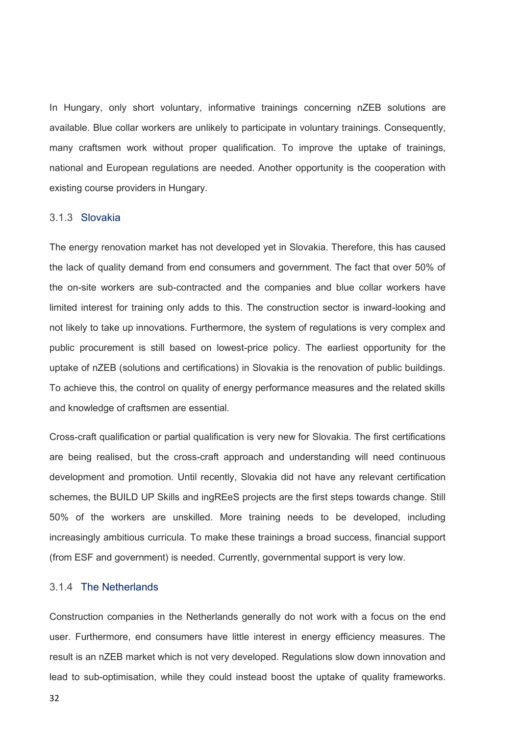In Hungary, only short voluntary, informative trainings concerning nZEB solutions are available. Blue collar workers are unlikely to participate in voluntary trainings. Consequently, many craftsmen work without proper qualification. To improve the uptake of trainings, national and European regulations are needed. Another opportunity is the cooperation with existing course providers in Hungary.

#### <span id="page-31-0"></span>3.1.3 Slovakia

The energy renovation market has not developed yet in Slovakia. Therefore, this has caused the lack of quality demand from end consumers and government. The fact that over 50% of the on-site workers are sub-contracted and the companies and blue collar workers have limited interest for training only adds to this. The construction sector is inward-looking and not likely to take up innovations. Furthermore, the system of regulations is very complex and public procurement is still based on lowest-price policy. The earliest opportunity for the uptake of nZEB (solutions and certifications) in Slovakia is the renovation of public buildings. To achieve this, the control on quality of energy performance measures and the related skills and knowledge of craftsmen are essential.

Cross-craft qualification or partial qualification is very new for Slovakia. The first certifications are being realised, but the cross-craft approach and understanding will need continuous development and promotion. Until recently, Slovakia did not have any relevant certification schemes, the BUILD UP Skills and ingREeS projects are the first steps towards change. Still 50% of the workers are unskilled. More training needs to be developed, including increasingly ambitious curricula. To make these trainings a broad success, financial support (from ESF and government) is needed. Currently, governmental support is very low.

## <span id="page-31-1"></span>3.1.4 The Netherlands

Construction companies in the Netherlands generally do not work with a focus on the end user. Furthermore, end consumers have little interest in energy efficiency measures. The result is an nZEB market which is not very developed. Regulations slow down innovation and lead to sub-optimisation, while they could instead boost the uptake of quality frameworks.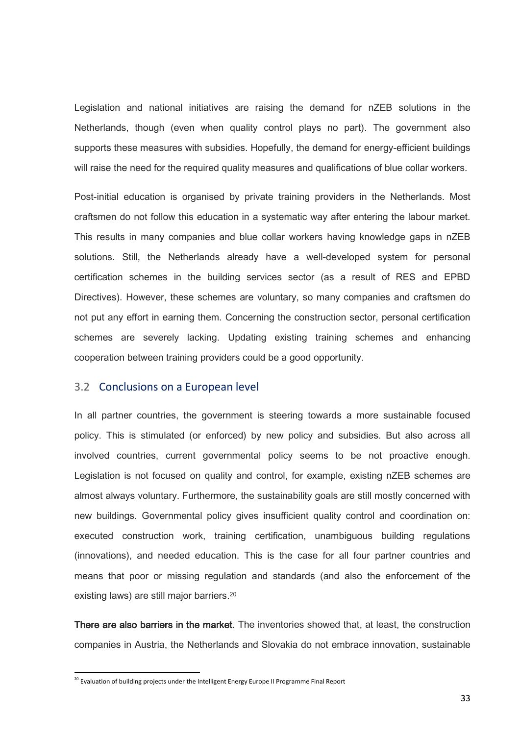Legislation and national initiatives are raising the demand for nZEB solutions in the Netherlands, though (even when quality control plays no part). The government also supports these measures with subsidies. Hopefully, the demand for energy-efficient buildings will raise the need for the required quality measures and qualifications of blue collar workers.

Post-initial education is organised by private training providers in the Netherlands. Most craftsmen do not follow this education in a systematic way after entering the labour market. This results in many companies and blue collar workers having knowledge gaps in nZEB solutions. Still, the Netherlands already have a well-developed system for personal certification schemes in the building services sector (as a result of RES and EPBD Directives). However, these schemes are voluntary, so many companies and craftsmen do not put any effort in earning them. Concerning the construction sector, personal certification schemes are severely lacking. Updating existing training schemes and enhancing cooperation between training providers could be a good opportunity.

#### <span id="page-32-0"></span>3.2 Conclusions on a European level

In all partner countries, the government is steering towards a more sustainable focused policy. This is stimulated (or enforced) by new policy and subsidies. But also across all involved countries, current governmental policy seems to be not proactive enough. Legislation is not focused on quality and control, for example, existing nZEB schemes are almost always voluntary. Furthermore, the sustainability goals are still mostly concerned with new buildings. Governmental policy gives insufficient quality control and coordination on: executed construction work, training certification, unambiguous building regulations (innovations), and needed education. This is the case for all four partner countries and means that poor or missing regulation and standards (and also the enforcement of the existing laws) are still major barriers. 20

There are also barriers in the market. The inventories showed that, at least, the construction companies in Austria, the Netherlands and Slovakia do not embrace innovation, sustainable

1

<sup>&</sup>lt;sup>20</sup> Evaluation of building projects under the Intelligent Energy Europe II Programme Final Report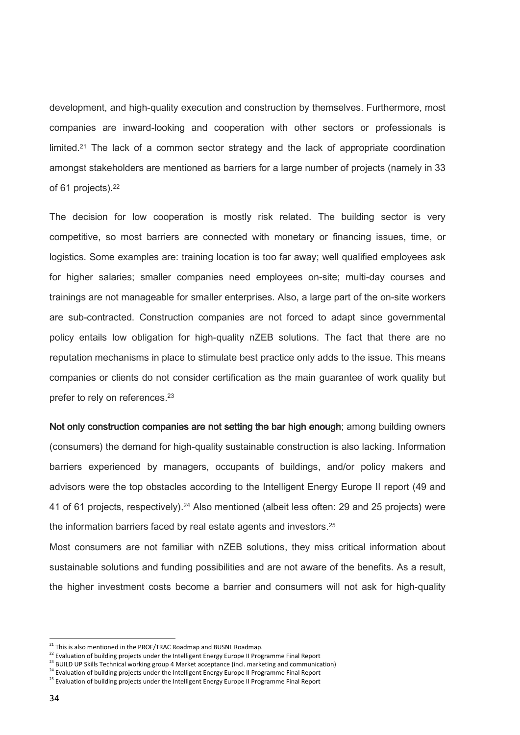development, and high-quality execution and construction by themselves. Furthermore, most companies are inward-looking and cooperation with other sectors or professionals is limited.<sup>21</sup> The lack of a common sector strategy and the lack of appropriate coordination amongst stakeholders are mentioned as barriers for a large number of projects (namely in 33 of 61 projects). 22

The decision for low cooperation is mostly risk related. The building sector is very competitive, so most barriers are connected with monetary or financing issues, time, or logistics. Some examples are: training location is too far away; well qualified employees ask for higher salaries; smaller companies need employees on-site; multi-day courses and trainings are not manageable for smaller enterprises. Also, a large part of the on-site workers are sub-contracted. Construction companies are not forced to adapt since governmental policy entails low obligation for high-quality nZEB solutions. The fact that there are no reputation mechanisms in place to stimulate best practice only adds to the issue. This means companies or clients do not consider certification as the main guarantee of work quality but prefer to rely on references.<sup>23</sup>

Not only construction companies are not setting the bar high enough; among building owners (consumers) the demand for high-quality sustainable construction is also lacking. Information barriers experienced by managers, occupants of buildings, and/or policy makers and advisors were the top obstacles according to the Intelligent Energy Europe II report (49 and 41 of 61 projects, respectively). <sup>24</sup> Also mentioned (albeit less often: 29 and 25 projects) were the information barriers faced by real estate agents and investors.<sup>25</sup>

Most consumers are not familiar with nZEB solutions, they miss critical information about sustainable solutions and funding possibilities and are not aware of the benefits. As a result, the higher investment costs become a barrier and consumers will not ask for high-quality

<sup>&</sup>lt;sup>21</sup> This is also mentioned in the PROF/TRAC Roadmap and BUSNL Roadmap.

<sup>&</sup>lt;sup>22</sup> Evaluation of building projects under the Intelligent Energy Europe II Programme Final Report

<sup>&</sup>lt;sup>23</sup> BUILD UP Skills Technical working group 4 Market acceptance (incl. marketing and communication)

<sup>&</sup>lt;sup>24</sup> Evaluation of building projects under the Intelligent Energy Europe II Programme Final Report

<sup>&</sup>lt;sup>25</sup> Evaluation of building projects under the Intelligent Energy Europe II Programme Final Report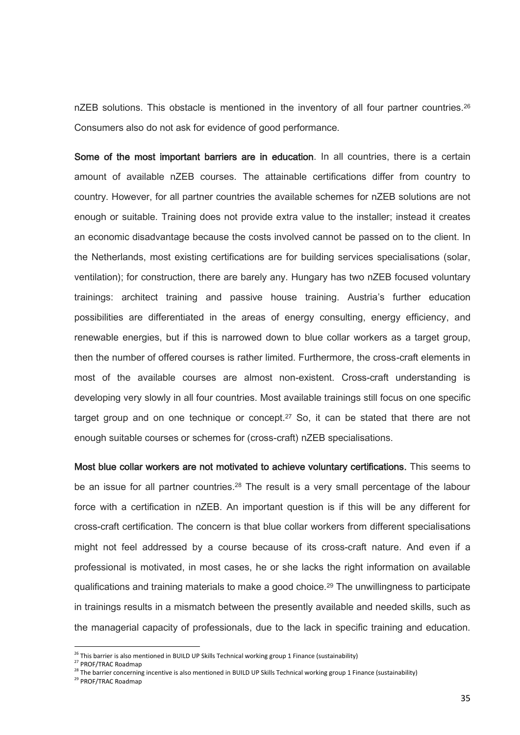nZEB solutions. This obstacle is mentioned in the inventory of all four partner countries.<sup>26</sup> Consumers also do not ask for evidence of good performance.

Some of the most important barriers are in education. In all countries, there is a certain amount of available nZEB courses. The attainable certifications differ from country to country. However, for all partner countries the available schemes for nZEB solutions are not enough or suitable. Training does not provide extra value to the installer; instead it creates an economic disadvantage because the costs involved cannot be passed on to the client. In the Netherlands, most existing certifications are for building services specialisations (solar, ventilation); for construction, there are barely any. Hungary has two nZEB focused voluntary trainings: architect training and passive house training. Austria's further education possibilities are differentiated in the areas of energy consulting, energy efficiency, and renewable energies, but if this is narrowed down to blue collar workers as a target group, then the number of offered courses is rather limited. Furthermore, the cross-craft elements in most of the available courses are almost non-existent. Cross-craft understanding is developing very slowly in all four countries. Most available trainings still focus on one specific target group and on one technique or concept.<sup>27</sup> So, it can be stated that there are not enough suitable courses or schemes for (cross-craft) nZEB specialisations.

Most blue collar workers are not motivated to achieve voluntary certifications. This seems to be an issue for all partner countries.<sup>28</sup> The result is a very small percentage of the labour force with a certification in nZEB. An important question is if this will be any different for cross-craft certification. The concern is that blue collar workers from different specialisations might not feel addressed by a course because of its cross-craft nature. And even if a professional is motivated, in most cases, he or she lacks the right information on available qualifications and training materials to make a good choice.<sup>29</sup> The unwillingness to participate in trainings results in a mismatch between the presently available and needed skills, such as the managerial capacity of professionals, due to the lack in specific training and education.

<sup>&</sup>lt;sup>26</sup> This barrier is also mentioned in BUILD UP Skills Technical working group 1 Finance (sustainability)

<sup>&</sup>lt;sup>27</sup> PROF/TRAC Roadmap

 $^{28}$  The barrier concerning incentive is also mentioned in BUILD UP Skills Technical working group 1 Finance (sustainability)

<sup>29</sup> PROF/TRAC Roadmap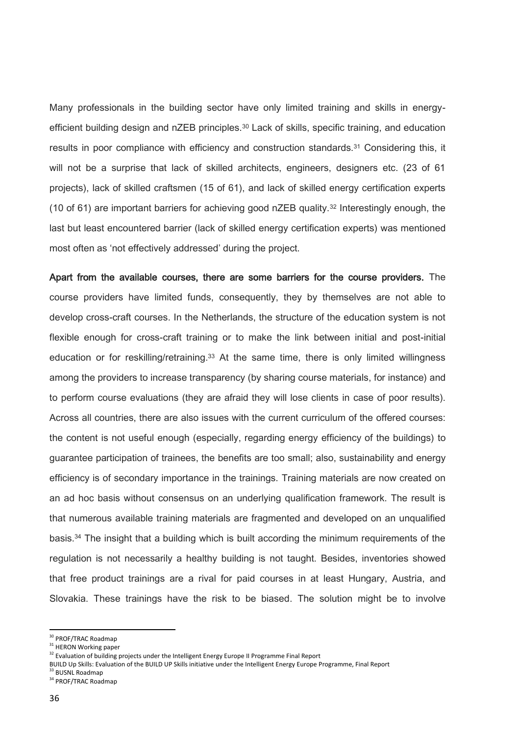Many professionals in the building sector have only limited training and skills in energyefficient building design and nZEB principles.<sup>30</sup> Lack of skills, specific training, and education results in poor compliance with efficiency and construction standards.<sup>31</sup> Considering this, it will not be a surprise that lack of skilled architects, engineers, designers etc. (23 of 61 projects), lack of skilled craftsmen (15 of 61), and lack of skilled energy certification experts (10 of 61) are important barriers for achieving good  $nZEB$  quality.<sup>32</sup> Interestingly enough, the last but least encountered barrier (lack of skilled energy certification experts) was mentioned most often as 'not effectively addressed' during the project.

Apart from the available courses, there are some barriers for the course providers. The course providers have limited funds, consequently, they by themselves are not able to develop cross-craft courses. In the Netherlands, the structure of the education system is not flexible enough for cross-craft training or to make the link between initial and post-initial education or for reskilling/retraining.<sup>33</sup> At the same time, there is only limited willingness among the providers to increase transparency (by sharing course materials, for instance) and to perform course evaluations (they are afraid they will lose clients in case of poor results). Across all countries, there are also issues with the current curriculum of the offered courses: the content is not useful enough (especially, regarding energy efficiency of the buildings) to guarantee participation of trainees, the benefits are too small; also, sustainability and energy efficiency is of secondary importance in the trainings. Training materials are now created on an ad hoc basis without consensus on an underlying qualification framework. The result is that numerous available training materials are fragmented and developed on an unqualified basis.<sup>34</sup> The insight that a building which is built according the minimum requirements of the regulation is not necessarily a healthy building is not taught. Besides, inventories showed that free product trainings are a rival for paid courses in at least Hungary, Austria, and Slovakia. These trainings have the risk to be biased. The solution might be to involve

<sup>&</sup>lt;sup>30</sup> PROF/TRAC Roadmap

<sup>&</sup>lt;sup>31</sup> HERON Working paper

<sup>&</sup>lt;sup>32</sup> Evaluation of building projects under the Intelligent Energy Europe II Programme Final Report

BUILD Up Skills: Evaluation of the BUILD UP Skills initiative under the Intelligent Energy Europe Programme, Final Report <sup>33</sup> BUSNL Roadmap

<sup>&</sup>lt;sup>34</sup> PROF/TRAC Roadmap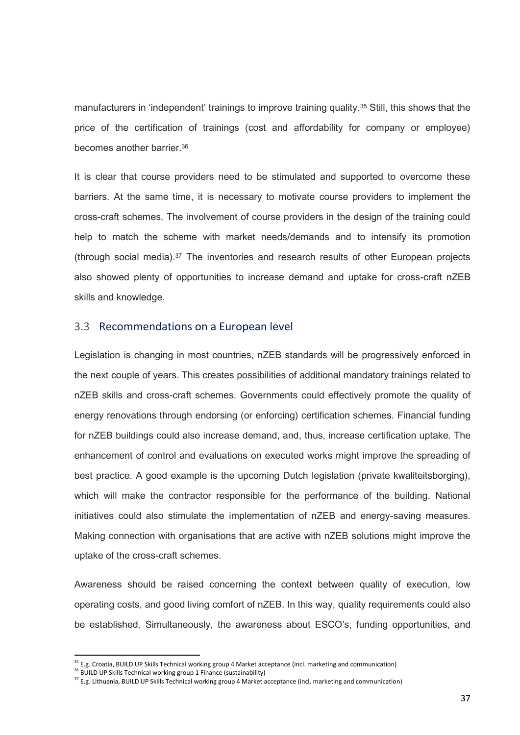manufacturers in 'independent' trainings to improve training quality.<sup>35</sup> Still, this shows that the price of the certification of trainings (cost and affordability for company or employee) becomes another barrier.<sup>36</sup>

It is clear that course providers need to be stimulated and supported to overcome these barriers. At the same time, it is necessary to motivate course providers to implement the cross-craft schemes. The involvement of course providers in the design of the training could help to match the scheme with market needs/demands and to intensify its promotion (through social media). $37$  The inventories and research results of other European projects also showed plenty of opportunities to increase demand and uptake for cross-craft nZEB skills and knowledge.

#### <span id="page-36-0"></span>3.3 Recommendations on a European level

Legislation is changing in most countries, nZEB standards will be progressively enforced in the next couple of years. This creates possibilities of additional mandatory trainings related to nZEB skills and cross-craft schemes. Governments could effectively promote the quality of energy renovations through endorsing (or enforcing) certification schemes. Financial funding for nZEB buildings could also increase demand, and, thus, increase certification uptake. The enhancement of control and evaluations on executed works might improve the spreading of best practice. A good example is the upcoming Dutch legislation (private kwaliteitsborging), which will make the contractor responsible for the performance of the building. National initiatives could also stimulate the implementation of nZEB and energy-saving measures. Making connection with organisations that are active with nZEB solutions might improve the uptake of the cross-craft schemes.

Awareness should be raised concerning the context between quality of execution, low operating costs, and good living comfort of nZEB. In this way, quality requirements could also be established. Simultaneously, the awareness about ESCO's, funding opportunities, and

 $35$  E.g. Croatia, BUILD UP Skills Technical working group 4 Market acceptance (incl. marketing and communication)

<sup>&</sup>lt;sup>36</sup> BUILD UP Skills Technical working group 1 Finance (sustainability)

<sup>&</sup>lt;sup>37</sup> E.g. Lithuania, BUILD UP Skills Technical working group 4 Market acceptance (incl. marketing and communication)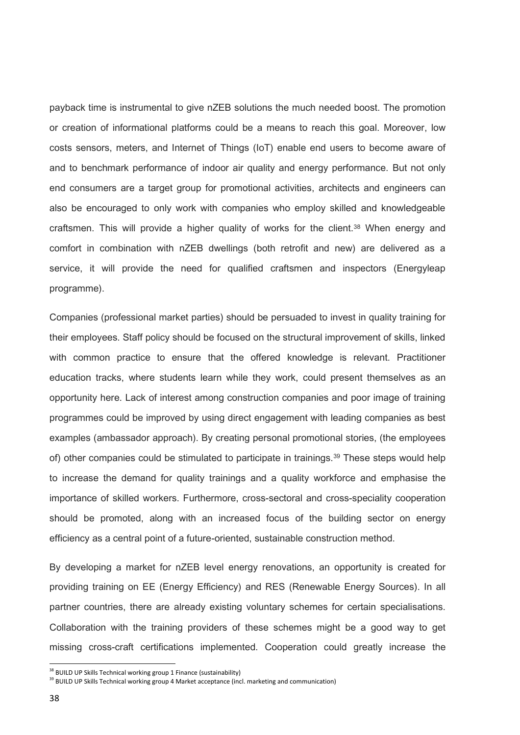payback time is instrumental to give nZEB solutions the much needed boost. The promotion or creation of informational platforms could be a means to reach this goal. Moreover, low costs sensors, meters, and Internet of Things (IoT) enable end users to become aware of and to benchmark performance of indoor air quality and energy performance. But not only end consumers are a target group for promotional activities, architects and engineers can also be encouraged to only work with companies who employ skilled and knowledgeable craftsmen. This will provide a higher quality of works for the client.<sup>38</sup> When energy and comfort in combination with nZEB dwellings (both retrofit and new) are delivered as a service, it will provide the need for qualified craftsmen and inspectors (Energyleap programme).

Companies (professional market parties) should be persuaded to invest in quality training for their employees. Staff policy should be focused on the structural improvement of skills, linked with common practice to ensure that the offered knowledge is relevant. Practitioner education tracks, where students learn while they work, could present themselves as an opportunity here. Lack of interest among construction companies and poor image of training programmes could be improved by using direct engagement with leading companies as best examples (ambassador approach). By creating personal promotional stories, (the employees of) other companies could be stimulated to participate in trainings.<sup>39</sup> These steps would help to increase the demand for quality trainings and a quality workforce and emphasise the importance of skilled workers. Furthermore, cross-sectoral and cross-speciality cooperation should be promoted, along with an increased focus of the building sector on energy efficiency as a central point of a future-oriented, sustainable construction method.

By developing a market for nZEB level energy renovations, an opportunity is created for providing training on EE (Energy Efficiency) and RES (Renewable Energy Sources). In all partner countries, there are already existing voluntary schemes for certain specialisations. Collaboration with the training providers of these schemes might be a good way to get missing cross-craft certifications implemented. Cooperation could greatly increase the

1

<sup>&</sup>lt;sup>38</sup> BUILD UP Skills Technical working group 1 Finance (sustainability)

<sup>&</sup>lt;sup>39</sup> BUILD UP Skills Technical working group 4 Market acceptance (incl. marketing and communication)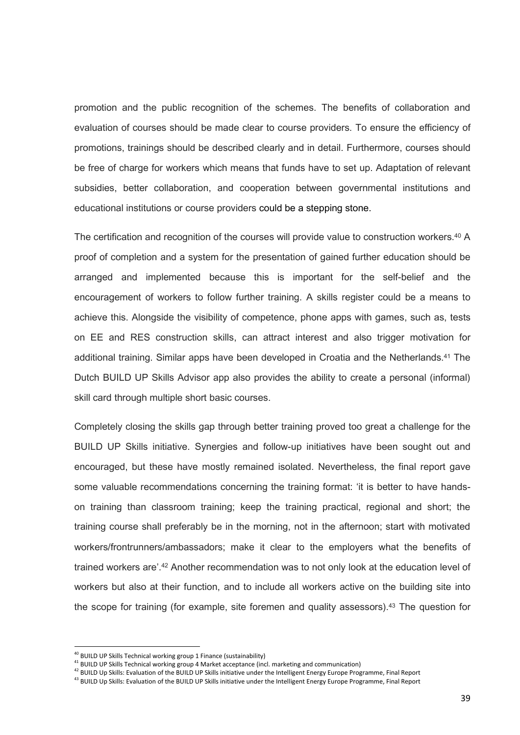promotion and the public recognition of the schemes. The benefits of collaboration and evaluation of courses should be made clear to course providers. To ensure the efficiency of promotions, trainings should be described clearly and in detail. Furthermore, courses should be free of charge for workers which means that funds have to set up. Adaptation of relevant subsidies, better collaboration, and cooperation between governmental institutions and educational institutions or course providers could be a stepping stone.

The certification and recognition of the courses will provide value to construction workers.<sup>40</sup> A proof of completion and a system for the presentation of gained further education should be arranged and implemented because this is important for the self-belief and the encouragement of workers to follow further training. A skills register could be a means to achieve this. Alongside the visibility of competence, phone apps with games, such as, tests on EE and RES construction skills, can attract interest and also trigger motivation for additional training. Similar apps have been developed in Croatia and the Netherlands.<sup>41</sup> The Dutch BUILD UP Skills Advisor app also provides the ability to create a personal (informal) skill card through multiple short basic courses.

Completely closing the skills gap through better training proved too great a challenge for the BUILD UP Skills initiative. Synergies and follow-up initiatives have been sought out and encouraged, but these have mostly remained isolated. Nevertheless, the final report gave some valuable recommendations concerning the training format: 'it is better to have handson training than classroom training; keep the training practical, regional and short; the training course shall preferably be in the morning, not in the afternoon; start with motivated workers/frontrunners/ambassadors; make it clear to the employers what the benefits of trained workers are'. <sup>42</sup> Another recommendation was to not only look at the education level of workers but also at their function, and to include all workers active on the building site into the scope for training (for example, site foremen and quality assessors).<sup>43</sup> The question for

<sup>&</sup>lt;sup>40</sup> BUILD UP Skills Technical working group 1 Finance (sustainability)

<sup>41</sup> BUILD UP Skills Technical working group 4 Market acceptance (incl. marketing and communication)

<sup>42</sup> BUILD Up Skills: Evaluation of the BUILD UP Skills initiative under the Intelligent Energy Europe Programme, Final Report

<sup>43</sup> BUILD Up Skills: Evaluation of the BUILD UP Skills initiative under the Intelligent Energy Europe Programme, Final Report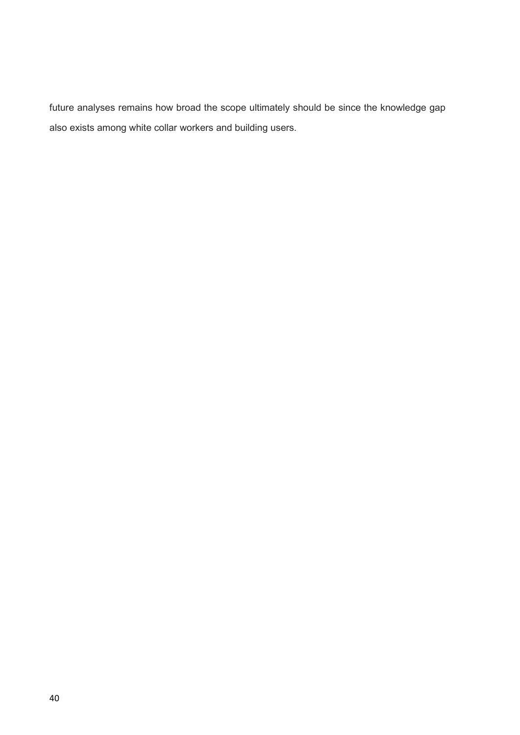future analyses remains how broad the scope ultimately should be since the knowledge gap also exists among white collar workers and building users.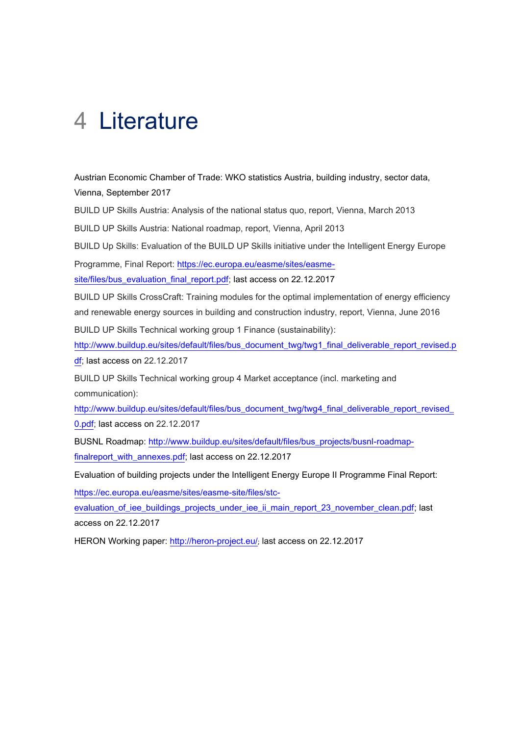# <span id="page-40-0"></span>4 Literature

Austrian Economic Chamber of Trade: WKO statistics Austria, building industry, sector data, Vienna, September 2017

BUILD UP Skills Austria: Analysis of the national status quo, report, Vienna, March 2013

BUILD UP Skills Austria: National roadmap, report, Vienna, April 2013

BUILD Up Skills: Evaluation of the BUILD UP Skills initiative under the Intelligent Energy Europe

Programme, Final Report: [https://ec.europa.eu/easme/sites/easme-](https://ec.europa.eu/easme/sites/easme-site/files/bus_evaluation_final_report.pdf)

[site/files/bus\\_evaluation\\_final\\_report.pdf;](https://ec.europa.eu/easme/sites/easme-site/files/bus_evaluation_final_report.pdf) last access on 22.12.2017

BUILD UP Skills CrossCraft: Training modules for the optimal implementation of energy efficiency and renewable energy sources in building and construction industry, report, Vienna, June 2016 BUILD UP Skills Technical working group 1 Finance (sustainability):

[http://www.buildup.eu/sites/default/files/bus\\_document\\_twg/twg1\\_final\\_deliverable\\_report\\_revised.p](http://www.buildup.eu/sites/default/files/bus_document_twg/twg1_final_deliverable_report_revised.pdf)

[df;](http://www.buildup.eu/sites/default/files/bus_document_twg/twg1_final_deliverable_report_revised.pdf) last access on 22.12.2017

BUILD UP Skills Technical working group 4 Market acceptance (incl. marketing and communication):

http://www.buildup.eu/sites/default/files/bus\_document\_twg/twg4\_final\_deliverable\_report\_revised [0.pdf;](http://www.buildup.eu/sites/default/files/bus_document_twg/twg4_final_deliverable_report_revised_0.pdf) last access on 22.12.2017

BUSNL Roadmap: [http://www.buildup.eu/sites/default/files/bus\\_projects/busnl-roadmap](http://www.buildup.eu/sites/default/files/bus_projects/busnl-roadmap-finalreport_with_annexes.pdf)[finalreport\\_with\\_annexes.pdf;](http://www.buildup.eu/sites/default/files/bus_projects/busnl-roadmap-finalreport_with_annexes.pdf) last access on 22.12.2017

Evaluation of building projects under the Intelligent Energy Europe II Programme Final Report:

[https://ec.europa.eu/easme/sites/easme-site/files/stc-](https://ec.europa.eu/easme/sites/easme-site/files/stc-evaluation_of_iee_buildings_projects_under_iee_ii_main_report_23_november_clean.pdf)

[evaluation\\_of\\_iee\\_buildings\\_projects\\_under\\_iee\\_ii\\_main\\_report\\_23\\_november\\_clean.pdf;](https://ec.europa.eu/easme/sites/easme-site/files/stc-evaluation_of_iee_buildings_projects_under_iee_ii_main_report_23_november_clean.pdf) last access on 22.12.2017

HERON Working paper:<http://heron-project.eu/>; last access on 22.12.2017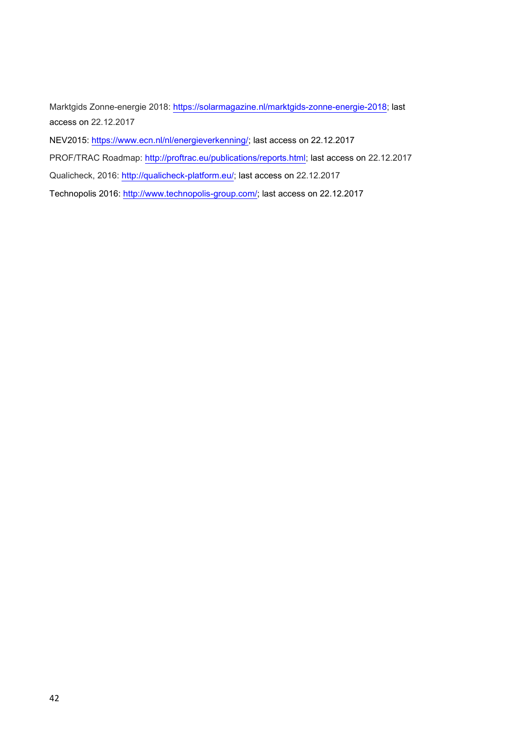Marktgids Zonne-energie 2018: [https://solarmagazine.nl/marktgids-zonne-energie-2018;](https://solarmagazine.nl/marktgids-zonne-energie-2018) last access on 22.12.2017

NEV2015: [https://www.ecn.nl/nl/energieverkenning/;](https://www.ecn.nl/nl/energieverkenning/) last access on 22.12.2017

PROF/TRAC Roadmap: [http://proftrac.eu/publications/reports.html;](http://proftrac.eu/publications/reports.html) last access on 22.12.2017

Qualicheck, 2016: [http://qualicheck-platform.eu/;](http://qualicheck-platform.eu/) last access on 22.12.2017

Technopolis 2016: [http://www.technopolis-group.com/;](http://www.technopolis-group.com/) last access on 22.12.2017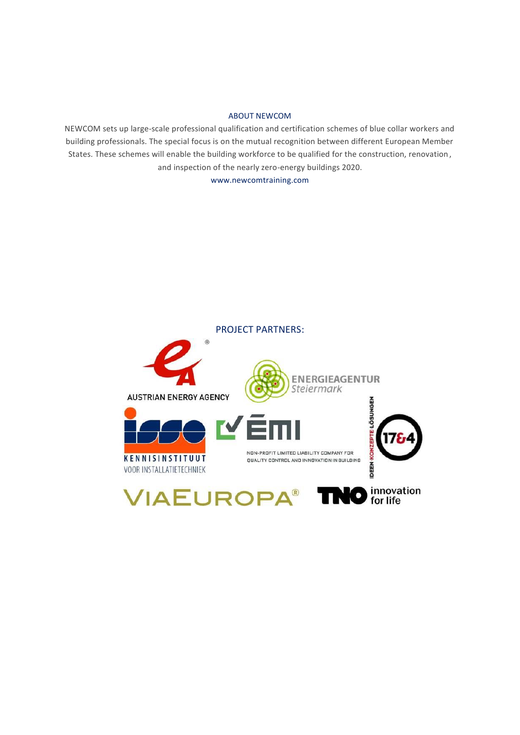#### ABOUT NEWCOM

NEWCOM sets up large-scale professional qualification and certification schemes of blue collar workers and building professionals. The special focus is on the mutual recognition between different European Member States. These schemes will enable the building workforce to be qualified for the construction, renovation, and inspection of the nearly zero-energy buildings 2020.

www.newcomtraining.com